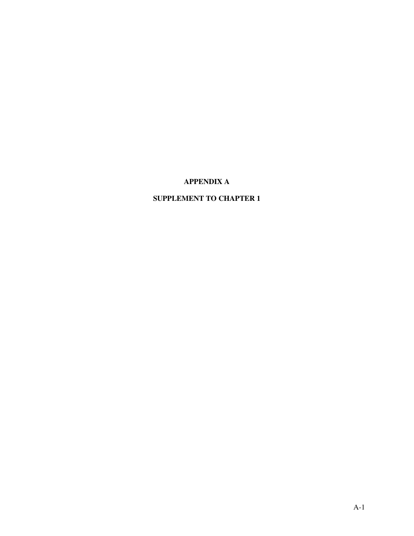# **APPENDIX A**

# **SUPPLEMENT TO CHAPTER 1**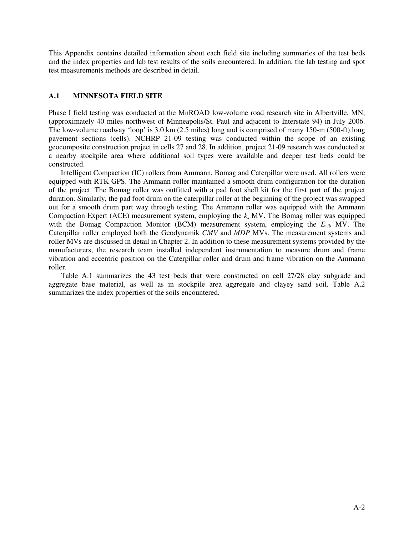This Appendix contains detailed information about each field site including summaries of the test beds and the index properties and lab test results of the soils encountered. In addition, the lab testing and spot test measurements methods are described in detail.

## **A.1 MINNESOTA FIELD SITE**

Phase I field testing was conducted at the MnROAD low-volume road research site in Albertville, MN, (approximately 40 miles northwest of Minneapolis/St. Paul and adjacent to Interstate 94) in July 2006. The low-volume roadway 'loop' is 3.0 km (2.5 miles) long and is comprised of many 150-m (500-ft) long pavement sections (cells). NCHRP 21-09 testing was conducted within the scope of an existing geocomposite construction project in cells 27 and 28. In addition, project 21-09 research was conducted at a nearby stockpile area where additional soil types were available and deeper test beds could be constructed.

Intelligent Compaction (IC) rollers from Ammann, Bomag and Caterpillar were used. All rollers were equipped with RTK GPS. The Ammann roller maintained a smooth drum configuration for the duration of the project. The Bomag roller was outfitted with a pad foot shell kit for the first part of the project duration. Similarly, the pad foot drum on the caterpillar roller at the beginning of the project was swapped out for a smooth drum part way through testing. The Ammann roller was equipped with the Ammann Compaction Expert (ACE) measurement system, employing the  $k_s$  MV. The Bomag roller was equipped with the Bomag Compaction Monitor (BCM) measurement system, employing the  $E_{vib}$  MV. The Caterpillar roller employed both the Geodynamik *CMV* and *MDP* MVs. The measurement systems and roller MVs are discussed in detail in Chapter 2. In addition to these measurement systems provided by the manufacturers, the research team installed independent instrumentation to measure drum and frame vibration and eccentric position on the Caterpillar roller and drum and frame vibration on the Ammann roller.

Table A.1 summarizes the 43 test beds that were constructed on cell 27/28 clay subgrade and aggregate base material, as well as in stockpile area aggregate and clayey sand soil. Table A.2 summarizes the index properties of the soils encountered.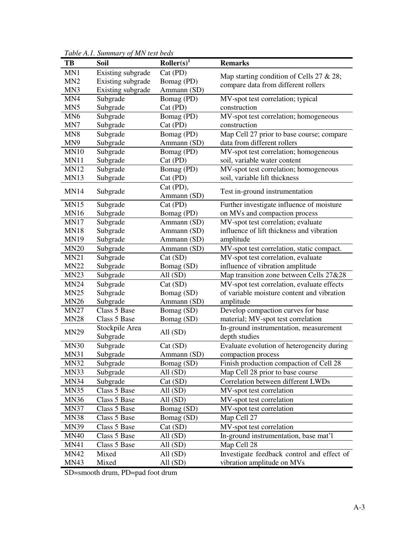| TB              | Soil              | Roller(s) <sup>1</sup> | <b>Remarks</b>                             |
|-----------------|-------------------|------------------------|--------------------------------------------|
| MN1             | Existing subgrade | Cat (PD)               | Map starting condition of Cells 27 & 28;   |
| MN <sub>2</sub> | Existing subgrade | Bomag (PD)             | compare data from different rollers        |
| MN3             | Existing subgrade | Ammann (SD)            |                                            |
| MN4             | Subgrade          | Bomag (PD)             | MV-spot test correlation; typical          |
| MN <sub>5</sub> | Subgrade          | Cat (PD)               | construction                               |
| MN <sub>6</sub> | Subgrade          | Bomag (PD)             | MV-spot test correlation; homogeneous      |
| MN7             | Subgrade          | Cat (PD)               | construction                               |
| MN <sub>8</sub> | Subgrade          | Bomag (PD)             | Map Cell 27 prior to base course; compare  |
| MN9             | Subgrade          | Ammann (SD)            | data from different rollers                |
| <b>MN10</b>     | Subgrade          | Bomag (PD)             | MV-spot test correlation; homogeneous      |
| MN11            | Subgrade          | Cat (PD)               | soil, variable water content               |
| <b>MN12</b>     | Subgrade          | Bomag (PD)             | MV-spot test correlation; homogeneous      |
| <b>MN13</b>     | Subgrade          | Cat (PD)               | soil, variable lift thickness              |
| <b>MN14</b>     | Subgrade          | Cat (PD),              | Test in-ground instrumentation             |
|                 |                   | Ammann (SD)            |                                            |
| <b>MN15</b>     | Subgrade          | $Cat$ (PD)             | Further investigate influence of moisture  |
| <b>MN16</b>     | Subgrade          | Bomag (PD)             | on MVs and compaction process              |
| <b>MN17</b>     | Subgrade          | Ammann (SD)            | MV-spot test correlation; evaluate         |
| <b>MN18</b>     | Subgrade          | Ammann (SD)            | influence of lift thickness and vibration  |
| <b>MN19</b>     | Subgrade          | Ammann (SD)            | amplitude                                  |
| <b>MN20</b>     | Subgrade          | Ammann (SD)            | MV-spot test correlation, static compact.  |
| <b>MN21</b>     | Subgrade          | Cat (SD)               | MV-spot test correlation, evaluate         |
| <b>MN22</b>     | Subgrade          | Bomag (SD)             | influence of vibration amplitude           |
| <b>MN23</b>     | Subgrade          | All $(SD)$             | Map transition zone between Cells 27&28    |
| <b>MN24</b>     | Subgrade          | Cat (SD)               | MV-spot test correlation, evaluate effects |
| <b>MN25</b>     | Subgrade          | Bomag (SD)             | of variable moisture content and vibration |
| <b>MN26</b>     | Subgrade          | Ammann (SD)            | amplitude                                  |
| <b>MN27</b>     | Class 5 Base      | Bomag (SD)             | Develop compaction curves for base         |
| <b>MN28</b>     | Class 5 Base      | Bomag (SD)             | material; MV-spot test correlation         |
| <b>MN29</b>     | Stockpile Area    | All $(SD)$             | In-ground instrumentation, measurement     |
|                 | Subgrade          |                        | depth studies                              |
| <b>MN30</b>     | Subgrade          | Cat(SD)                | Evaluate evolution of heterogeneity during |
| <b>MN31</b>     | Subgrade          | Ammann (SD)            | compaction process                         |
| MN32            | Subgrade          | Bomag (SD)             | Finish production compaction of Cell 28    |
| <b>MN33</b>     | Subgrade          | All $(SD)$             | Map Cell 28 prior to base course           |
| <b>MN34</b>     | Subgrade          | Cat(SD)                | Correlation between different LWDs         |
| <b>MN35</b>     | Class 5 Base      | All $(SD)$             | MV-spot test correlation                   |
| <b>MN36</b>     | Class 5 Base      | All $(SD)$             | MV-spot test correlation                   |
| <b>MN37</b>     | Class 5 Base      | Bomag (SD)             | MV-spot test correlation                   |
| <b>MN38</b>     | Class 5 Base      | Bomag (SD)             | Map Cell 27                                |
| <b>MN39</b>     | Class 5 Base      | Cat(SD)                | MV-spot test correlation                   |
| <b>MN40</b>     | Class 5 Base      | All $(SD)$             | In-ground instrumentation, base mat'l      |
| <b>MN41</b>     | Class 5 Base      | All $(SD)$             | Map Cell 28                                |
| <b>MN42</b>     | Mixed             | All $(SD)$             | Investigate feedback control and effect of |
| <b>MN43</b>     | Mixed             | All $(SD)$             | vibration amplitude on MVs                 |

*Table A.1. Summary of MN test beds* 

SD=smooth drum, PD=pad foot drum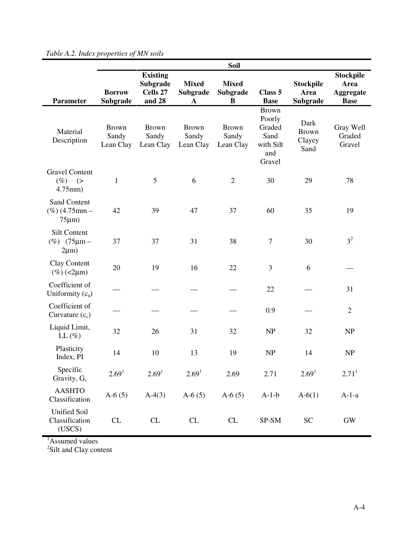|                                                     |                                    |                                                   |                                         | <b>Soil</b>                        |                                                                        |                                        |                                                             |
|-----------------------------------------------------|------------------------------------|---------------------------------------------------|-----------------------------------------|------------------------------------|------------------------------------------------------------------------|----------------------------------------|-------------------------------------------------------------|
| <b>Parameter</b>                                    | <b>Borrow</b><br>Subgrade          | <b>Existing</b><br>Subgrade<br>Cells 27<br>and 28 | <b>Mixed</b><br>Subgrade<br>$\mathbf A$ | <b>Mixed</b><br>Subgrade<br>B      | Class 5<br><b>Base</b>                                                 | <b>Stockpile</b><br>Area<br>Subgrade   | <b>Stockpile</b><br>Area<br><b>Aggregate</b><br><b>Base</b> |
| Material<br>Description                             | <b>Brown</b><br>Sandy<br>Lean Clay | <b>Brown</b><br>Sandy<br>Lean Clay                | <b>Brown</b><br>Sandy<br>Lean Clay      | <b>Brown</b><br>Sandy<br>Lean Clay | <b>Brown</b><br>Poorly<br>Graded<br>Sand<br>with Silt<br>and<br>Gravel | Dark<br><b>Brown</b><br>Clayey<br>Sand | Gray Well<br>Graded<br>Gravel                               |
| <b>Gravel Content</b><br>$(\%)$ (><br>$4.75$ mm $)$ | $\mathbf{1}$                       | 5                                                 | 6                                       | $\overline{2}$                     | 30                                                                     | 29                                     | 78                                                          |
| Sand Content<br>$(\%)$ (4.75mm –<br>$75 \mu m$ )    | 42                                 | 39                                                | 47                                      | 37                                 | 60                                                                     | 35                                     | 19                                                          |
| Silt Content<br>$(\%)$ (75 $\mu$ m –<br>$2\mu m$ )  | 37                                 | 37                                                | 31                                      | 38                                 | $\tau$                                                                 | 30                                     | 3 <sup>2</sup>                                              |
| Clay Content<br>$(\%)$ (<2 $\mu$ m)                 | 20                                 | 19                                                | 16                                      | 22                                 | 3                                                                      | 6                                      |                                                             |
| Coefficient of<br>Uniformity $(c_u)$                |                                    |                                                   |                                         |                                    | 22                                                                     |                                        | 31                                                          |
| Coefficient of<br>Curvature $(c_c)$                 |                                    |                                                   |                                         |                                    | 0.9                                                                    |                                        | $\mathfrak{2}$                                              |
| Liquid Limit,<br>LL $(\%)$                          | 32                                 | 26                                                | 31                                      | 32                                 | NP                                                                     | 32                                     | <b>NP</b>                                                   |
| Plasticity<br>Index, PI                             | 14                                 | 10                                                | 13                                      | 19                                 | <b>NP</b>                                                              | 14                                     | NP                                                          |
| Specific<br>Gravity, G <sub>s</sub>                 | 2.69 <sup>1</sup>                  | 2.69 <sup>1</sup>                                 | 2.69 <sup>1</sup>                       | 2.69                               | 2.71                                                                   | 2.69 <sup>1</sup>                      | 2.71 <sup>1</sup>                                           |
| <b>AASHTO</b><br>Classification                     | $A-6(5)$                           | $A-4(3)$                                          | A- $6(5)$                               | $A-6(5)$                           | $A-1-b$                                                                | $A - 6(1)$                             | $A-1-a$                                                     |
| <b>Unified Soil</b><br>Classification<br>(USCS)     | CL                                 | CL                                                | CL                                      | CL                                 | SP-SM                                                                  | <b>SC</b>                              | $\mathrm{GW}$                                               |

*Table A.2. Index properties of MN soils* 

<sup>1</sup>Assumed values<br><sup>2</sup>Silt and Clay content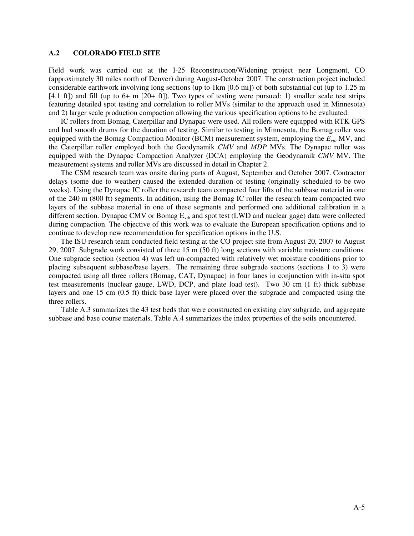### **A.2 COLORADO FIELD SITE**

Field work was carried out at the I-25 Reconstruction/Widening project near Longmont, CO (approximately 30 miles north of Denver) during August-October 2007. The construction project included considerable earthwork involving long sections (up to 1km [0.6 mi]) of both substantial cut (up to 1.25 m [4.1 ft]) and fill (up to 6+ m [20+ ft]). Two types of testing were pursued: 1) smaller scale test strips featuring detailed spot testing and correlation to roller MVs (similar to the approach used in Minnesota) and 2) larger scale production compaction allowing the various specification options to be evaluated.

IC rollers from Bomag, Caterpillar and Dynapac were used. All rollers were equipped with RTK GPS and had smooth drums for the duration of testing. Similar to testing in Minnesota, the Bomag roller was equipped with the Bomag Compaction Monitor (BCM) measurement system, employing the *Evib* MV, and the Caterpillar roller employed both the Geodynamik *CMV* and *MDP* MVs. The Dynapac roller was equipped with the Dynapac Compaction Analyzer (DCA) employing the Geodynamik *CMV* MV. The measurement systems and roller MVs are discussed in detail in Chapter 2.

The CSM research team was onsite during parts of August, September and October 2007. Contractor delays (some due to weather) caused the extended duration of testing (originally scheduled to be two weeks). Using the Dynapac IC roller the research team compacted four lifts of the subbase material in one of the 240 m (800 ft) segments. In addition, using the Bomag IC roller the research team compacted two layers of the subbase material in one of these segments and performed one additional calibration in a different section. Dynapac CMV or Bomag E<sub>vib</sub> and spot test (LWD and nuclear gage) data were collected during compaction. The objective of this work was to evaluate the European specification options and to continue to develop new recommendation for specification options in the U.S.

The ISU research team conducted field testing at the CO project site from August 20, 2007 to August 29, 2007. Subgrade work consisted of three 15 m (50 ft) long sections with variable moisture conditions. One subgrade section (section 4) was left un-compacted with relatively wet moisture conditions prior to placing subsequent subbase/base layers. The remaining three subgrade sections (sections 1 to 3) were compacted using all three rollers (Bomag, CAT, Dynapac) in four lanes in conjunction with in-situ spot test measurements (nuclear gauge, LWD, DCP, and plate load test). Two 30 cm (1 ft) thick subbase layers and one 15 cm (0.5 ft) thick base layer were placed over the subgrade and compacted using the three rollers.

Table A.3 summarizes the 43 test beds that were constructed on existing clay subgrade, and aggregate subbase and base course materials. Table A.4 summarizes the index properties of the soils encountered.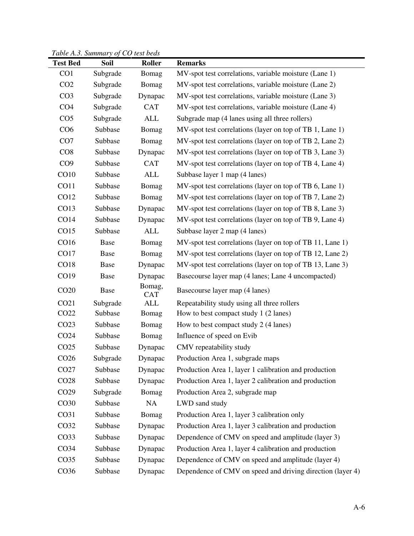*Table A.3. Summary of CO test beds*

|                  | Pable <i>T</i> .S. Bandhary of CO lest beas |                      |                                                            |
|------------------|---------------------------------------------|----------------------|------------------------------------------------------------|
| <b>Test Bed</b>  | Soil                                        | Roller               | <b>Remarks</b>                                             |
| CO <sub>1</sub>  | Subgrade                                    | Bomag                | MV-spot test correlations, variable moisture (Lane 1)      |
| CO <sub>2</sub>  | Subgrade                                    | Bomag                | MV-spot test correlations, variable moisture (Lane 2)      |
| CO <sub>3</sub>  | Subgrade                                    | Dynapac              | MV-spot test correlations, variable moisture (Lane 3)      |
| CO <sub>4</sub>  | Subgrade                                    | <b>CAT</b>           | MV-spot test correlations, variable moisture (Lane 4)      |
| CO <sub>5</sub>  | Subgrade                                    | <b>ALL</b>           | Subgrade map (4 lanes using all three rollers)             |
| CO6              | Subbase                                     | Bomag                | MV-spot test correlations (layer on top of TB 1, Lane 1)   |
| CO7              | Subbase                                     | Bomag                | MV-spot test correlations (layer on top of TB 2, Lane 2)   |
| CO8              | Subbase                                     | Dynapac              | MV-spot test correlations (layer on top of TB 3, Lane 3)   |
| CO9              | Subbase                                     | <b>CAT</b>           | MV-spot test correlations (layer on top of TB 4, Lane 4)   |
| CO10             | Subbase                                     | ALL                  | Subbase layer 1 map (4 lanes)                              |
| CO11             | Subbase                                     | Bomag                | MV-spot test correlations (layer on top of TB 6, Lane 1)   |
| CO12             | Subbase                                     | Bomag                | MV-spot test correlations (layer on top of TB 7, Lane 2)   |
| CO13             | Subbase                                     | Dynapac              | MV-spot test correlations (layer on top of TB 8, Lane 3)   |
| <b>CO14</b>      | Subbase                                     | Dynapac              | MV-spot test correlations (layer on top of TB 9, Lane 4)   |
| CO15             | Subbase                                     | <b>ALL</b>           | Subbase layer 2 map (4 lanes)                              |
| CO16             | Base                                        | Bomag                | MV-spot test correlations (layer on top of TB 11, Lane 1)  |
| CO17             | Base                                        | Bomag                | MV-spot test correlations (layer on top of TB 12, Lane 2)  |
| <b>CO18</b>      | Base                                        | Dynapac              | MV-spot test correlations (layer on top of TB 13, Lane 3)  |
| CO19             | Base                                        | Dynapac              | Basecourse layer map (4 lanes; Lane 4 uncompacted)         |
| CO <sub>20</sub> | Base                                        | Bomag,<br><b>CAT</b> | Basecourse layer map (4 lanes)                             |
| CO <sub>21</sub> | Subgrade                                    | <b>ALL</b>           | Repeatability study using all three rollers                |
| CO <sub>22</sub> | Subbase                                     | Bomag                | How to best compact study 1 (2 lanes)                      |
| CO <sub>23</sub> | Subbase                                     | Bomag                | How to best compact study 2 (4 lanes)                      |
| CO <sub>24</sub> | Subbase                                     | Bomag                | Influence of speed on Evib                                 |
| CO <sub>25</sub> | Subbase                                     | Dynapac              | CMV repeatability study                                    |
| CO <sub>26</sub> | Subgrade                                    | Dynapac              | Production Area 1, subgrade maps                           |
| CO <sub>27</sub> | Subbase                                     | Dynapac              | Production Area 1, layer 1 calibration and production      |
| CO <sub>28</sub> | Subbase                                     | Dynapac              | Production Area 1, layer 2 calibration and production      |
| CO <sub>29</sub> | Subgrade                                    | Bomag                | Production Area 2, subgrade map                            |
| CO <sub>30</sub> | Subbase                                     | NA                   | LWD sand study                                             |
| CO <sub>31</sub> | Subbase                                     | Bomag                | Production Area 1, layer 3 calibration only                |
| CO <sub>32</sub> | Subbase                                     | Dynapac              | Production Area 1, layer 3 calibration and production      |
| CO <sub>33</sub> | Subbase                                     | Dynapac              | Dependence of CMV on speed and amplitude (layer 3)         |
| CO <sub>34</sub> | Subbase                                     | Dynapac              | Production Area 1, layer 4 calibration and production      |
| CO <sub>35</sub> | Subbase                                     | Dynapac              | Dependence of CMV on speed and amplitude (layer 4)         |
| CO <sub>36</sub> | Subbase                                     | Dynapac              | Dependence of CMV on speed and driving direction (layer 4) |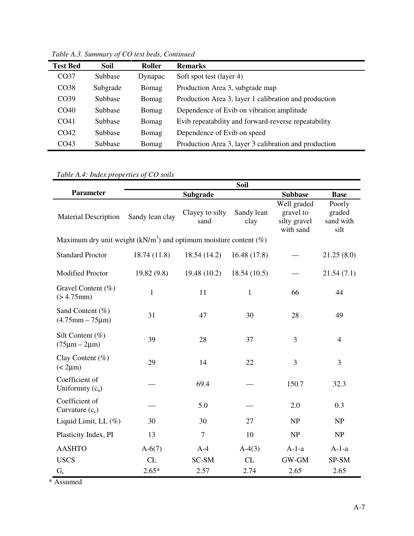| <b>Test Bed</b>  | Soil           | Roller  | <b>Remarks</b>                                        |
|------------------|----------------|---------|-------------------------------------------------------|
| CO <sub>37</sub> | Subbase        | Dynapac | Soft spot test (layer 4)                              |
| CO <sub>38</sub> | Subgrade       | Bomag   | Production Area 3, subgrade map                       |
| CO39             | <b>Subbase</b> | Bomag   | Production Area 3, layer 1 calibration and production |
| CO40             | <b>Subbase</b> | Bomag   | Dependence of Evib on vibration amplitude             |
| CO <sub>41</sub> | Subbase        | Bomag   | Evib repeatability and forward-reverse repeatability  |
| CO42             | Subbase        | Bomag   | Dependence of Evib on speed                           |
| CO43             | Subbase        | Bomag   | Production Area 3, layer 3 calibration and production |

*Table A.3. Summary of CO test beds, Continued*

*Table A.4: Index properties of CO soils* 

|                                                                    |                 |                         | Soil               |                                                       |                                       |
|--------------------------------------------------------------------|-----------------|-------------------------|--------------------|-------------------------------------------------------|---------------------------------------|
| <b>Parameter</b>                                                   |                 | Subgrade                |                    | <b>Subbase</b>                                        | <b>Base</b>                           |
| <b>Material Description</b>                                        | Sandy lean clay | Clayey to silty<br>sand | Sandy lean<br>clay | Well graded<br>gravel to<br>silty gravel<br>with sand | Poorly<br>graded<br>sand with<br>silt |
| Maximum dry unit weight $(kN/m3)$ and optimum moisture content (%) |                 |                         |                    |                                                       |                                       |
| <b>Standard Proctor</b>                                            | 18.74 (11.8)    | 18.54 (14.2)            | 16.48(17.8)        |                                                       | 21.25(8.0)                            |
| <b>Modified Proctor</b>                                            | 19.82(9.8)      | 19.48 (10.2)            | 18.54(10.5)        |                                                       | 21.54(7.1)                            |
| Gravel Content (%)<br>(> 4.75mm)                                   | $\mathbf{1}$    | 11                      | $\mathbf{1}$       | 66                                                    | 44                                    |
| Sand Content (%)<br>$(4.75$ mm $-75$ µm $)$                        | 31              | 47                      | 30                 | 28                                                    | 49                                    |
| Silt Content $(\%)$<br>$(75 \mu m - 2 \mu m)$                      | 39              | 28                      | 37                 | 3                                                     | $\overline{4}$                        |
| Clay Content $(\%)$<br>$(< 2 \mu m)$                               | 29              | 14                      | 22                 | 3                                                     | 3                                     |
| Coefficient of<br>Uniformity $(cu)$                                |                 | 69.4                    |                    | 150.7                                                 | 32.3                                  |
| Coefficient of<br>Curvature $(c_c)$                                |                 | 5.0                     |                    | 2.0                                                   | 0.3                                   |
| Liquid Limit, LL (%)                                               | 30              | 30                      | 27                 | NP                                                    | NP                                    |
| Plasticity Index, PI                                               | 13              | $\boldsymbol{7}$        | 10                 | NP                                                    | NP                                    |
| <b>AASHTO</b>                                                      | $A-6(7)$        | $A-4$                   | $A-4(3)$           | $A-1-a$                                               | $A-1-a$                               |
| <b>USCS</b>                                                        | CL              | SC-SM                   | CL                 | GW-GM                                                 | SP-SM                                 |
| $G_{s}$                                                            | $2.65*$         | 2.57                    | 2.74               | 2.65                                                  | 2.65                                  |

\* Assumed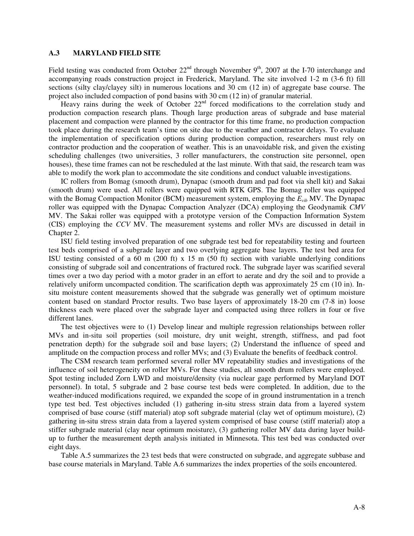### **A.3 MARYLAND FIELD SITE**

Field testing was conducted from October  $22<sup>nd</sup>$  through November 9<sup>th</sup>, 2007 at the I-70 interchange and accompanying roads construction project in Frederick, Maryland. The site involved 1-2 m (3-6 ft) fill sections (silty clay/clayey silt) in numerous locations and 30 cm (12 in) of aggregate base course. The project also included compaction of pond basins with 30 cm (12 in) of granular material.

Heavy rains during the week of October  $22<sup>nd</sup>$  forced modifications to the correlation study and production compaction research plans. Though large production areas of subgrade and base material placement and compaction were planned by the contractor for this time frame, no production compaction took place during the research team's time on site due to the weather and contractor delays. To evaluate the implementation of specification options during production compaction, researchers must rely on contractor production and the cooperation of weather. This is an unavoidable risk, and given the existing scheduling challenges (two universities, 3 roller manufacturers, the construction site personnel, open houses), these time frames can not be rescheduled at the last minute. With that said, the research team was able to modify the work plan to accommodate the site conditions and conduct valuable investigations.

IC rollers from Bomag (smooth drum), Dynapac (smooth drum and pad foot via shell kit) and Sakai (smooth drum) were used. All rollers were equipped with RTK GPS. The Bomag roller was equipped with the Bomag Compaction Monitor (BCM) measurement system, employing the  $E_{vib}$  MV. The Dynapac roller was equipped with the Dynapac Compaction Analyzer (DCA) employing the Geodynamik *CMV* MV. The Sakai roller was equipped with a prototype version of the Compaction Information System (CIS) employing the *CCV* MV. The measurement systems and roller MVs are discussed in detail in Chapter 2.

ISU field testing involved preparation of one subgrade test bed for repeatability testing and fourteen test beds comprised of a subgrade layer and two overlying aggregate base layers. The test bed area for ISU testing consisted of a 60 m (200 ft) x 15 m (50 ft) section with variable underlying conditions consisting of subgrade soil and concentrations of fractured rock. The subgrade layer was scarified several times over a two day period with a motor grader in an effort to aerate and dry the soil and to provide a relatively uniform uncompacted condition. The scarification depth was approximately 25 cm (10 in). Insitu moisture content measurements showed that the subgrade was generally wet of optimum moisture content based on standard Proctor results. Two base layers of approximately 18-20 cm (7-8 in) loose thickness each were placed over the subgrade layer and compacted using three rollers in four or five different lanes.

The test objectives were to (1) Develop linear and multiple regression relationships between roller MVs and in-situ soil properties (soil moisture, dry unit weight, strength, stiffness, and pad foot penetration depth) for the subgrade soil and base layers; (2) Understand the influence of speed and amplitude on the compaction process and roller MVs; and (3) Evaluate the benefits of feedback control.

The CSM research team performed several roller MV repeatability studies and investigations of the influence of soil heterogeneity on roller MVs. For these studies, all smooth drum rollers were employed. Spot testing included Zorn LWD and moisture/density (via nuclear gage performed by Maryland DOT personnel). In total, 5 subgrade and 2 base course test beds were completed. In addition, due to the weather-induced modifications required, we expanded the scope of in ground instrumentation in a trench type test bed. Test objectives included (1) gathering in-situ stress strain data from a layered system comprised of base course (stiff material) atop soft subgrade material (clay wet of optimum moisture), (2) gathering in-situ stress strain data from a layered system comprised of base course (stiff material) atop a stiffer subgrade material (clay near optimum moisture), (3) gathering roller MV data during layer buildup to further the measurement depth analysis initiated in Minnesota. This test bed was conducted over eight days.

Table A.5 summarizes the 23 test beds that were constructed on subgrade, and aggregate subbase and base course materials in Maryland. Table A.6 summarizes the index properties of the soils encountered.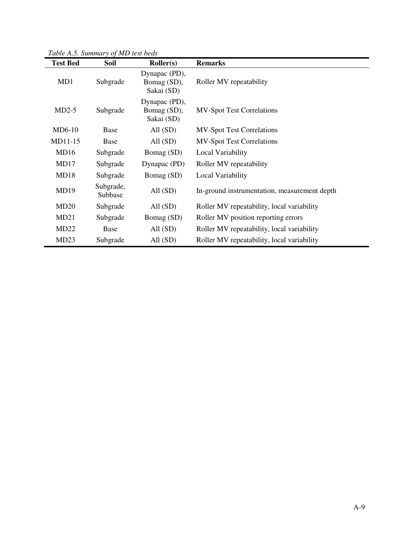*Table A.5. Summary of MD test beds*

| <b>Test Bed</b> | Soil                 | Roller(s)                                  | <b>Remarks</b>                               |
|-----------------|----------------------|--------------------------------------------|----------------------------------------------|
| MD1             | Subgrade             | Dynapac (PD),<br>Bomag (SD),<br>Sakai (SD) | Roller MV repeatability                      |
| $MD2-5$         | Subgrade             | Dynapac (PD),<br>Bomag (SD),<br>Sakai (SD) | <b>MV-Spot Test Correlations</b>             |
| $MD6-10$        | Base                 | All $(SD)$                                 | <b>MV-Spot Test Correlations</b>             |
| MD11-15         | Base                 | All $(SD)$                                 | <b>MV-Spot Test Correlations</b>             |
| MD16            | Subgrade             | Bomag (SD)                                 | Local Variability                            |
| MD17            | Subgrade             | Dynapac (PD)                               | Roller MV repeatability                      |
| MD18            | Subgrade             | Bomag (SD)                                 | Local Variability                            |
| MD19            | Subgrade,<br>Subbase | All $(SD)$                                 | In-ground instrumentation, measurement depth |
| MD20            | Subgrade             | All $(SD)$                                 | Roller MV repeatability, local variability   |
| MD21            | Subgrade             | Bomag (SD)                                 | Roller MV position reporting errors          |
| MD22            | Base                 | All $(SD)$                                 | Roller MV repeatability, local variability   |
| MD23            | Subgrade             | All $(SD)$                                 | Roller MV repeatability, local variability   |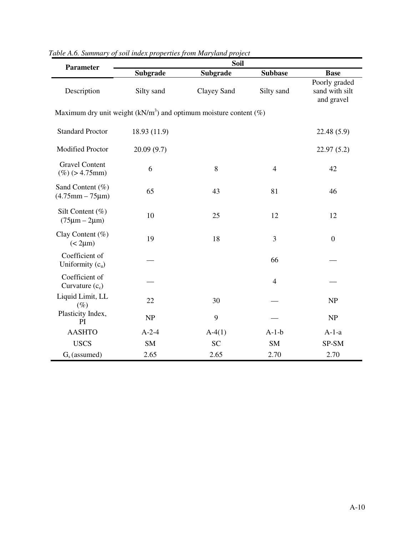| <b>Parameter</b>                              | Soil                                                               |             |                |                                               |  |  |
|-----------------------------------------------|--------------------------------------------------------------------|-------------|----------------|-----------------------------------------------|--|--|
|                                               | <b>Subgrade</b>                                                    | Subgrade    | <b>Subbase</b> | <b>Base</b>                                   |  |  |
| Description<br>Silty sand                     |                                                                    | Clayey Sand | Silty sand     | Poorly graded<br>sand with silt<br>and gravel |  |  |
|                                               | Maximum dry unit weight $(kN/m3)$ and optimum moisture content (%) |             |                |                                               |  |  |
| <b>Standard Proctor</b>                       | 18.93 (11.9)                                                       |             |                | 22.48 (5.9)                                   |  |  |
| Modified Proctor                              | 20.09(9.7)                                                         |             |                | 22.97(5.2)                                    |  |  |
| <b>Gravel Content</b><br>$(\%)$ (> 4.75mm)    | 6                                                                  | 8           | $\overline{4}$ | 42                                            |  |  |
| Sand Content (%)<br>$(4.75$ mm $-75$ µm)      | 65                                                                 | 43          | 81             | 46                                            |  |  |
| Silt Content $(\%)$<br>$(75 \mu m - 2 \mu m)$ | 10                                                                 | 25          | 12             | 12                                            |  |  |
| Clay Content (%)<br>$(< 2 \mu m)$             | 19                                                                 | 18          | 3              | $\boldsymbol{0}$                              |  |  |
| Coefficient of<br>Uniformity $(cu)$           |                                                                    |             | 66             |                                               |  |  |
| Coefficient of<br>Curvature $(c_c)$           |                                                                    |             | $\overline{4}$ |                                               |  |  |
| Liquid Limit, LL<br>$(\%)$                    | 22                                                                 | 30          |                | NP                                            |  |  |
| Plasticity Index,<br>PI                       | NP                                                                 | 9           |                | NP                                            |  |  |
| <b>AASHTO</b>                                 | $A-2-4$                                                            | $A-4(1)$    | $A-1-b$        | $A-1-a$                                       |  |  |
| <b>USCS</b>                                   | SM                                                                 | <b>SC</b>   | <b>SM</b>      | SP-SM                                         |  |  |
| $Gs$ (assumed)                                | 2.65                                                               | 2.65        | 2.70           | 2.70                                          |  |  |

| Table A.6. Summary of soil index properties from Maryland project |  |  |  |  |
|-------------------------------------------------------------------|--|--|--|--|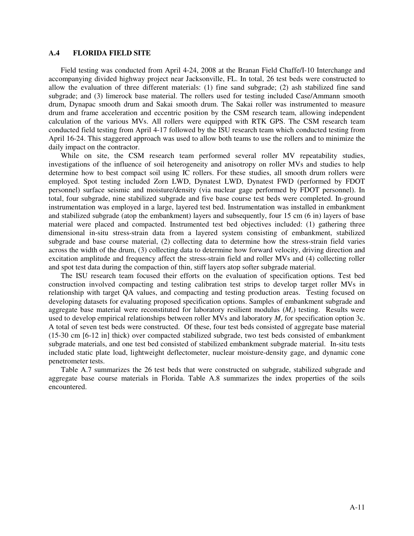#### **A.4 FLORIDA FIELD SITE**

Field testing was conducted from April 4-24, 2008 at the Branan Field Chaffe/I-10 Interchange and accompanying divided highway project near Jacksonville, FL. In total, 26 test beds were constructed to allow the evaluation of three different materials: (1) fine sand subgrade; (2) ash stabilized fine sand subgrade; and (3) limerock base material. The rollers used for testing included Case/Ammann smooth drum, Dynapac smooth drum and Sakai smooth drum. The Sakai roller was instrumented to measure drum and frame acceleration and eccentric position by the CSM research team, allowing independent calculation of the various MVs. All rollers were equipped with RTK GPS. The CSM research team conducted field testing from April 4-17 followed by the ISU research team which conducted testing from April 16-24. This staggered approach was used to allow both teams to use the rollers and to minimize the daily impact on the contractor.

While on site, the CSM research team performed several roller MV repeatability studies, investigations of the influence of soil heterogeneity and anisotropy on roller MVs and studies to help determine how to best compact soil using IC rollers. For these studies, all smooth drum rollers were employed. Spot testing included Zorn LWD, Dynatest LWD, Dynatest FWD (performed by FDOT personnel) surface seismic and moisture/density (via nuclear gage performed by FDOT personnel). In total, four subgrade, nine stabilized subgrade and five base course test beds were completed. In-ground instrumentation was employed in a large, layered test bed. Instrumentation was installed in embankment and stabilized subgrade (atop the embankment) layers and subsequently, four 15 cm (6 in) layers of base material were placed and compacted. Instrumented test bed objectives included: (1) gathering three dimensional in-situ stress-strain data from a layered system consisting of embankment, stabilized subgrade and base course material, (2) collecting data to determine how the stress-strain field varies across the width of the drum, (3) collecting data to determine how forward velocity, driving direction and excitation amplitude and frequency affect the stress-strain field and roller MVs and (4) collecting roller and spot test data during the compaction of thin, stiff layers atop softer subgrade material.

The ISU research team focused their efforts on the evaluation of specification options. Test bed construction involved compacting and testing calibration test strips to develop target roller MVs in relationship with target QA values, and compacting and testing production areas. Testing focused on developing datasets for evaluating proposed specification options. Samples of embankment subgrade and aggregate base material were reconstituted for laboratory resilient modulus (*Mr*) testing. Results were used to develop empirical relationships between roller MVs and laboratory *M<sup>r</sup>* for specification option 3c. A total of seven test beds were constructed. Of these, four test beds consisted of aggregate base material (15-30 cm [6-12 in] thick) over compacted stabilized subgrade, two test beds consisted of embankment subgrade materials, and one test bed consisted of stabilized embankment subgrade material. In-situ tests included static plate load, lightweight deflectometer, nuclear moisture-density gage, and dynamic cone penetrometer tests.

Table A.7 summarizes the 26 test beds that were constructed on subgrade, stabilized subgrade and aggregate base course materials in Florida. Table A.8 summarizes the index properties of the soils encountered.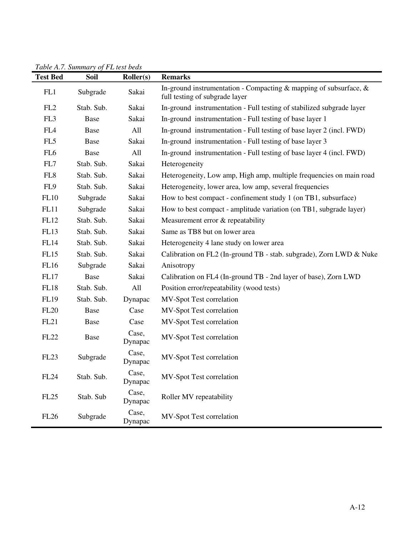| 1 avrc 11.7 . Dammar y 01 1 L icsi ocas<br><b>Test Bed</b> | Soil       | <b>Roller(s)</b> | <b>Remarks</b>                                                                                         |
|------------------------------------------------------------|------------|------------------|--------------------------------------------------------------------------------------------------------|
| FL1                                                        | Subgrade   | Sakai            | In-ground instrumentation - Compacting & mapping of subsurface, $\&$<br>full testing of subgrade layer |
| FL <sub>2</sub>                                            | Stab. Sub. | Sakai            | In-ground instrumentation - Full testing of stabilized subgrade layer                                  |
| FL3                                                        | Base       | Sakai            | In-ground instrumentation - Full testing of base layer 1                                               |
| FL <sub>4</sub>                                            | Base       | All              | In-ground instrumentation - Full testing of base layer 2 (incl. FWD)                                   |
| FL5                                                        | Base       | Sakai            | In-ground instrumentation - Full testing of base layer 3                                               |
| FL <sub>6</sub>                                            | Base       | All              | In-ground instrumentation - Full testing of base layer 4 (incl. FWD)                                   |
| FL7                                                        | Stab. Sub. | Sakai            | Heterogeneity                                                                                          |
| FL <sub>8</sub>                                            | Stab. Sub. | Sakai            | Heterogeneity, Low amp, High amp, multiple frequencies on main road                                    |
| FL9                                                        | Stab. Sub. | Sakai            | Heterogeneity, lower area, low amp, several frequencies                                                |
| FL10                                                       | Subgrade   | Sakai            | How to best compact - confinement study 1 (on TB1, subsurface)                                         |
| FL11                                                       | Subgrade   | Sakai            | How to best compact - amplitude variation (on TB1, subgrade layer)                                     |
| FL12                                                       | Stab. Sub. | Sakai            | Measurement error & repeatability                                                                      |
| <b>FL13</b>                                                | Stab. Sub. | Sakai            | Same as TB8 but on lower area                                                                          |
| <b>FL14</b>                                                | Stab. Sub. | Sakai            | Heterogeneity 4 lane study on lower area                                                               |
| FL15                                                       | Stab. Sub. | Sakai            | Calibration on FL2 (In-ground TB - stab. subgrade), Zorn LWD & Nuke                                    |
| <b>FL16</b>                                                | Subgrade   | Sakai            | Anisotropy                                                                                             |
| <b>FL17</b>                                                | Base       | Sakai            | Calibration on FL4 (In-ground TB - 2nd layer of base), Zorn LWD                                        |
| <b>FL18</b>                                                | Stab. Sub. | All              | Position error/repeatability (wood tests)                                                              |
| <b>FL19</b>                                                | Stab. Sub. | Dynapac          | MV-Spot Test correlation                                                                               |
| <b>FL20</b>                                                | Base       | Case             | MV-Spot Test correlation                                                                               |
| FL21                                                       | Base       | Case             | MV-Spot Test correlation                                                                               |
| <b>FL22</b>                                                | Base       | Case,<br>Dynapac | MV-Spot Test correlation                                                                               |
| FL <sub>23</sub>                                           | Subgrade   | Case,<br>Dynapac | MV-Spot Test correlation                                                                               |
| <b>FL24</b>                                                | Stab. Sub. | Case,<br>Dynapac | MV-Spot Test correlation                                                                               |
| <b>FL25</b>                                                | Stab. Sub  | Case,<br>Dynapac | Roller MV repeatability                                                                                |
| <b>FL26</b>                                                | Subgrade   | Case,<br>Dynapac | MV-Spot Test correlation                                                                               |

*Table A.7. Summary of FL test beds*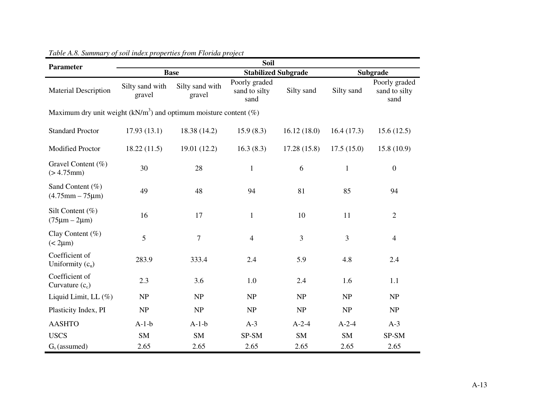| <b>Parameter</b>                                                              | <b>Soil</b> |                           |                                        |                |              |                                        |  |  |
|-------------------------------------------------------------------------------|-------------|---------------------------|----------------------------------------|----------------|--------------|----------------------------------------|--|--|
|                                                                               |             | <b>Base</b>               | <b>Stabilized Subgrade</b>             |                |              | Subgrade                               |  |  |
| Silty sand with<br><b>Material Description</b><br>gravel                      |             | Silty sand with<br>gravel | Poorly graded<br>sand to silty<br>sand | Silty sand     | Silty sand   | Poorly graded<br>sand to silty<br>sand |  |  |
| Maximum dry unit weight (kN/m <sup>3</sup> ) and optimum moisture content (%) |             |                           |                                        |                |              |                                        |  |  |
| <b>Standard Proctor</b>                                                       | 17.93(13.1) | 18.38 (14.2)              | 15.9(8.3)                              | 16.12(18.0)    | 16.4(17.3)   | 15.6(12.5)                             |  |  |
| <b>Modified Proctor</b>                                                       | 18.22(11.5) | 19.01 (12.2)              | 16.3(8.3)                              | 17.28(15.8)    | 17.5(15.0)   | 15.8(10.9)                             |  |  |
| Gravel Content (%)<br>(> 4.75mm)                                              | 30          | 28                        | $\mathbf{1}$                           | 6              | $\mathbf{1}$ | $\boldsymbol{0}$                       |  |  |
| Sand Content $(\% )$<br>$(4.75$ mm $- 75 \mu m)$                              | 49          | 48                        | 94                                     | 81             | 85           | 94                                     |  |  |
| Silt Content $(\% )$<br>$(75 \mu m - 2 \mu m)$                                | 16          | 17                        | $\mathbf{1}$                           | 10             | 11           | $\overline{2}$                         |  |  |
| Clay Content $(\%)$<br>$(< 2 \mu m)$                                          | 5           | $\overline{7}$            | $\overline{4}$                         | $\overline{3}$ | 3            | $\overline{4}$                         |  |  |
| Coefficient of<br>Uniformity $(cu)$                                           | 283.9       | 333.4                     | 2.4                                    | 5.9            | 4.8          | 2.4                                    |  |  |
| Coefficient of<br>Curvature $(c_c)$                                           | 2.3         | 3.6                       | 1.0                                    | 2.4            | 1.6          | 1.1                                    |  |  |
| Liquid Limit, LL $(\%)$                                                       | NP          | NP                        | NP                                     | NP             | NP           | NP                                     |  |  |
| Plasticity Index, PI                                                          | NP          | NP                        | NP                                     | NP             | NP           | NP                                     |  |  |
| <b>AASHTO</b>                                                                 | $A-1-b$     | $A-1-b$                   | $A-3$                                  | $A-2-4$        | $A-2-4$      | $A-3$                                  |  |  |
| <b>USCS</b>                                                                   | <b>SM</b>   | <b>SM</b>                 | SP-SM                                  | <b>SM</b>      | <b>SM</b>    | SP-SM                                  |  |  |
| $Gs$ (assumed)                                                                | 2.65        | 2.65                      | 2.65                                   | 2.65           | 2.65         | 2.65                                   |  |  |

### *Table A.8. Summary of soil index properties from Florida project*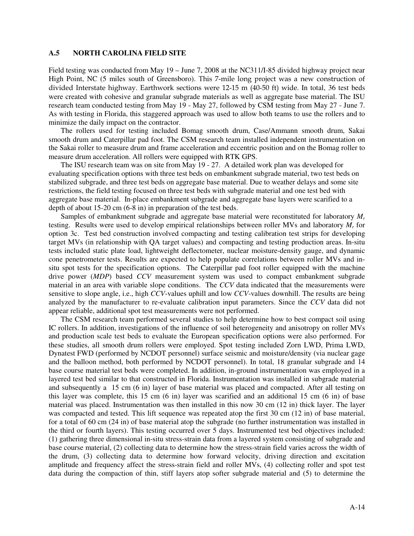#### **A.5 NORTH CAROLINA FIELD SITE**

Field testing was conducted from May 19 – June 7, 2008 at the NC311/I-85 divided highway project near High Point, NC (5 miles south of Greensboro). This 7-mile long project was a new construction of divided Interstate highway. Earthwork sections were 12-15 m (40-50 ft) wide. In total, 36 test beds were created with cohesive and granular subgrade materials as well as aggregate base material. The ISU research team conducted testing from May 19 - May 27, followed by CSM testing from May 27 - June 7. As with testing in Florida, this staggered approach was used to allow both teams to use the rollers and to minimize the daily impact on the contractor.

The rollers used for testing included Bomag smooth drum, Case/Ammann smooth drum, Sakai smooth drum and Caterpillar pad foot. The CSM research team installed independent instrumentation on the Sakai roller to measure drum and frame acceleration and eccentric position and on the Bomag roller to measure drum acceleration. All rollers were equipped with RTK GPS.

The ISU research team was on site from May 19 - 27. A detailed work plan was developed for evaluating specification options with three test beds on embankment subgrade material, two test beds on stabilized subgrade, and three test beds on aggregate base material. Due to weather delays and some site restrictions, the field testing focused on three test beds with subgrade material and one test bed with aggregate base material. In-place embankment subgrade and aggregate base layers were scarified to a depth of about 15-20 cm (6-8 in) in preparation of the test beds.

Samples of embankment subgrade and aggregate base material were reconstituted for laboratory *M<sup>r</sup>* testing. Results were used to develop empirical relationships between roller MVs and laboratory *M<sup>r</sup>* for option 3c. Test bed construction involved compacting and testing calibration test strips for developing target MVs (in relationship with QA target values) and compacting and testing production areas. In-situ tests included static plate load, lightweight deflectometer, nuclear moisture-density gauge, and dynamic cone penetrometer tests. Results are expected to help populate correlations between roller MVs and insitu spot tests for the specification options. The Caterpillar pad foot roller equipped with the machine drive power (*MDP*) based *CCV* measurement system was used to compact embankment subgrade material in an area with variable slope conditions. The *CCV* data indicated that the measurements were sensitive to slope angle, i.e., high *CCV*-values uphill and low *CCV*-values downhill. The results are being analyzed by the manufacturer to re-evaluate calibration input parameters. Since the *CCV* data did not appear reliable, additional spot test measurements were not performed.

The CSM research team performed several studies to help determine how to best compact soil using IC rollers. In addition, investigations of the influence of soil heterogeneity and anisotropy on roller MVs and production scale test beds to evaluate the European specification options were also performed. For these studies, all smooth drum rollers were employed. Spot testing included Zorn LWD, Prima LWD, Dynatest FWD (performed by NCDOT personnel) surface seismic and moisture/density (via nuclear gage and the balloon method, both performed by NCDOT personnel). In total, 18 granular subgrade and 14 base course material test beds were completed. In addition, in-ground instrumentation was employed in a layered test bed similar to that constructed in Florida. Instrumentation was installed in subgrade material and subsequently a 15 cm (6 in) layer of base material was placed and compacted. After all testing on this layer was complete, this 15 cm (6 in) layer was scarified and an additional 15 cm (6 in) of base material was placed. Instrumentation was then installed in this now 30 cm (12 in) thick layer. The layer was compacted and tested. This lift sequence was repeated atop the first 30 cm (12 in) of base material, for a total of 60 cm (24 in) of base material atop the subgrade (no further instrumentation was installed in the third or fourth layers). This testing occurred over 5 days. Instrumented test bed objectives included: (1) gathering three dimensional in-situ stress-strain data from a layered system consisting of subgrade and base course material, (2) collecting data to determine how the stress-strain field varies across the width of the drum, (3) collecting data to determine how forward velocity, driving direction and excitation amplitude and frequency affect the stress-strain field and roller MVs, (4) collecting roller and spot test data during the compaction of thin, stiff layers atop softer subgrade material and (5) to determine the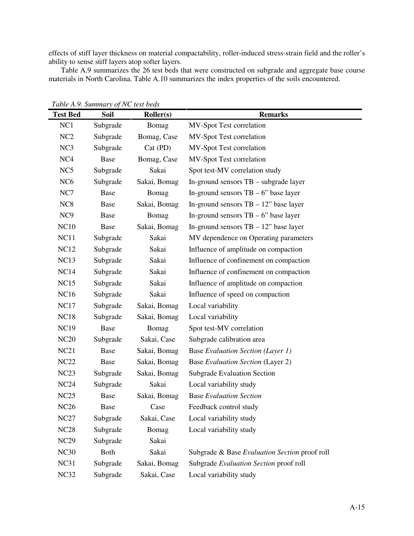effects of stiff layer thickness on material compactability, roller-induced stress-strain field and the roller's ability to sense stiff layers atop softer layers.

Table A.9 summarizes the 26 test beds that were constructed on subgrade and aggregate base course materials in North Carolina. Table A.10 summarizes the index properties of the soils encountered.

|                 |             | $v_{\rm J}$ $\sim$ $\sim$ $\sim$ $\sim$ $\sim$ $\sim$ $\sim$ |                                               |
|-----------------|-------------|--------------------------------------------------------------|-----------------------------------------------|
| <b>Test Bed</b> | Soil        | Roller(s)                                                    | <b>Remarks</b>                                |
| NC1             | Subgrade    | Bomag                                                        | MV-Spot Test correlation                      |
| NC <sub>2</sub> | Subgrade    | Bomag, Case                                                  | MV-Spot Test correlation                      |
| NC <sub>3</sub> | Subgrade    | $Cat$ (PD)                                                   | MV-Spot Test correlation                      |
| NC <sub>4</sub> | Base        | Bomag, Case                                                  | MV-Spot Test correlation                      |
| NC <sub>5</sub> | Subgrade    | Sakai                                                        | Spot test-MV correlation study                |
| NC <sub>6</sub> | Subgrade    | Sakai, Bomag                                                 | In-ground sensors TB – subgrade layer         |
| NC7             | Base        | Bomag                                                        | In-ground sensors $TB - 6$ " base layer       |
| NC <sub>8</sub> | Base        | Sakai, Bomag                                                 | In-ground sensors $TB - 12$ " base layer      |
| NC <sub>9</sub> | Base        | Bomag                                                        | In-ground sensors $TB - 6$ " base layer       |
| <b>NC10</b>     | Base        | Sakai, Bomag                                                 | In-ground sensors $TB - 12$ " base layer      |
| NC11            | Subgrade    | Sakai                                                        | MV dependence on Operating parameters         |
| <b>NC12</b>     | Subgrade    | Sakai                                                        | Influence of amplitude on compaction          |
| <b>NC13</b>     | Subgrade    | Sakai                                                        | Influence of confinement on compaction        |
| <b>NC14</b>     | Subgrade    | Sakai                                                        | Influence of confinement on compaction        |
| <b>NC15</b>     | Subgrade    | Sakai                                                        | Influence of amplitude on compaction          |
| <b>NC16</b>     | Subgrade    | Sakai                                                        | Influence of speed on compaction              |
| <b>NC17</b>     | Subgrade    | Sakai, Bomag                                                 | Local variability                             |
| <b>NC18</b>     | Subgrade    | Sakai, Bomag                                                 | Local variability                             |
| <b>NC19</b>     | Base        | Bomag                                                        | Spot test-MV correlation                      |
| <b>NC20</b>     | Subgrade    | Sakai, Case                                                  | Subgrade calibration area                     |
| NC21            | Base        | Sakai, Bomag                                                 | <b>Base Evaluation Section (Layer 1)</b>      |
| <b>NC22</b>     | Base        | Sakai, Bomag                                                 | Base Evaluation Section (Layer 2)             |
| NC23            | Subgrade    | Sakai, Bomag                                                 | <b>Subgrade Evaluation Section</b>            |
| NC24            | Subgrade    | Sakai                                                        | Local variability study                       |
| NC25            | Base        | Sakai, Bomag                                                 | <b>Base Evaluation Section</b>                |
| <b>NC26</b>     | Base        | Case                                                         | Feedback control study                        |
| NC27            | Subgrade    | Sakai, Case                                                  | Local variability study                       |
| <b>NC28</b>     | Subgrade    | Bomag                                                        | Local variability study                       |
| <b>NC29</b>     | Subgrade    | Sakai                                                        |                                               |
| <b>NC30</b>     | <b>Both</b> | Sakai                                                        | Subgrade & Base Evaluation Section proof roll |
| NC31            | Subgrade    | Sakai, Bomag                                                 | Subgrade Evaluation Section proof roll        |
| NC32            | Subgrade    | Sakai, Case                                                  | Local variability study                       |
|                 |             |                                                              |                                               |

*Table A.9. Summary of NC test beds*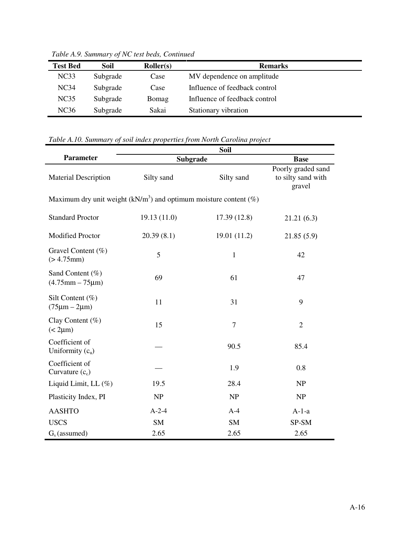| <b>Test Bed</b>  | Soil     | Roller(s) | <b>Remarks</b>                |
|------------------|----------|-----------|-------------------------------|
| NC33             | Subgrade | Case      | MV dependence on amplitude    |
| NC <sub>34</sub> | Subgrade | Case      | Influence of feedback control |
| NC35             | Subgrade | Bomag     | Influence of feedback control |
| NC36             | Subgrade | Sakai     | Stationary vibration          |

*Table A.9. Summary of NC test beds, Continued*

# *Table A.10. Summary of soil index properties from North Carolina project*

| <b>Parameter</b>                                                     | Subgrade    | <b>Base</b>    |                                                    |  |  |  |  |  |  |  |  |
|----------------------------------------------------------------------|-------------|----------------|----------------------------------------------------|--|--|--|--|--|--|--|--|
| <b>Material Description</b>                                          | Silty sand  | Silty sand     | Poorly graded sand<br>to silty sand with<br>gravel |  |  |  |  |  |  |  |  |
| Maximum dry unit weight ( $kN/m3$ ) and optimum moisture content (%) |             |                |                                                    |  |  |  |  |  |  |  |  |
| <b>Standard Proctor</b>                                              | 19.13(11.0) | 17.39(12.8)    | 21.21(6.3)                                         |  |  |  |  |  |  |  |  |
| <b>Modified Proctor</b>                                              | 20.39(8.1)  | 19.01 (11.2)   | 21.85(5.9)                                         |  |  |  |  |  |  |  |  |
| Gravel Content (%)<br>(> 4.75mm)                                     | 5           | $\mathbf{1}$   | 42                                                 |  |  |  |  |  |  |  |  |
| Sand Content (%)<br>$(4.75$ mm $- 75 \mu m)$                         | 69          | 61             | 47                                                 |  |  |  |  |  |  |  |  |
| Silt Content $(\%)$<br>$(75 \mu m - 2 \mu m)$                        | 11          | 31             | 9                                                  |  |  |  |  |  |  |  |  |
| Clay Content $(\%)$<br>$(< 2 \mu m)$                                 | 15          | $\overline{7}$ | $\overline{2}$                                     |  |  |  |  |  |  |  |  |
| Coefficient of<br>Uniformity $(cu)$                                  |             | 90.5           | 85.4                                               |  |  |  |  |  |  |  |  |
| Coefficient of<br>Curvature $(c_c)$                                  |             | 1.9            | 0.8                                                |  |  |  |  |  |  |  |  |
| Liquid Limit, LL $(\%)$                                              | 19.5        | 28.4           | <b>NP</b>                                          |  |  |  |  |  |  |  |  |
| Plasticity Index, PI                                                 | NP          | NP             | NP                                                 |  |  |  |  |  |  |  |  |
| <b>AASHTO</b>                                                        | $A-2-4$     | $A-4$          | $A-1-a$                                            |  |  |  |  |  |  |  |  |
| <b>USCS</b>                                                          | <b>SM</b>   | <b>SM</b>      | SP-SM                                              |  |  |  |  |  |  |  |  |
| $Gs$ (assumed)                                                       | 2.65        | 2.65           | 2.65                                               |  |  |  |  |  |  |  |  |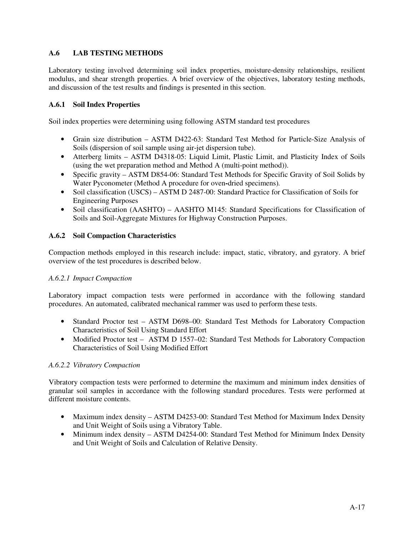## **A.6 LAB TESTING METHODS**

Laboratory testing involved determining soil index properties, moisture-density relationships, resilient modulus, and shear strength properties. A brief overview of the objectives, laboratory testing methods, and discussion of the test results and findings is presented in this section.

## **A.6.1 Soil Index Properties**

Soil index properties were determining using following ASTM standard test procedures

- Grain size distribution ASTM D422-63: Standard Test Method for Particle-Size Analysis of Soils (dispersion of soil sample using air-jet dispersion tube).
- Atterberg limits ASTM D4318-05: Liquid Limit, Plastic Limit, and Plasticity Index of Soils (using the wet preparation method and Method A (multi-point method)).
- Specific gravity ASTM D854-06: Standard Test Methods for Specific Gravity of Soil Solids by Water Pyconometer (Method A procedure for oven**-**dried specimens)*.*
- Soil classification (USCS) ASTM D 2487-00: Standard Practice for Classification of Soils for Engineering Purposes
- Soil classification (AASHTO) AASHTO M145: Standard Specifications for Classification of Soils and Soil-Aggregate Mixtures for Highway Construction Purposes.

## **A.6.2 Soil Compaction Characteristics**

Compaction methods employed in this research include: impact, static, vibratory, and gyratory. A brief overview of the test procedures is described below.

## *A.6.2.1 Impact Compaction*

Laboratory impact compaction tests were performed in accordance with the following standard procedures. An automated, calibrated mechanical rammer was used to perform these tests.

- Standard Proctor test ASTM D698–00: Standard Test Methods for Laboratory Compaction Characteristics of Soil Using Standard Effort
- Modified Proctor test ASTM D 1557–02: Standard Test Methods for Laboratory Compaction Characteristics of Soil Using Modified Effort

## *A.6.2.2 Vibratory Compaction*

Vibratory compaction tests were performed to determine the maximum and minimum index densities of granular soil samples in accordance with the following standard procedures. Tests were performed at different moisture contents.

- Maximum index density ASTM D4253-00: Standard Test Method for Maximum Index Density and Unit Weight of Soils using a Vibratory Table.
- Minimum index density ASTM D4254-00: Standard Test Method for Minimum Index Density and Unit Weight of Soils and Calculation of Relative Density.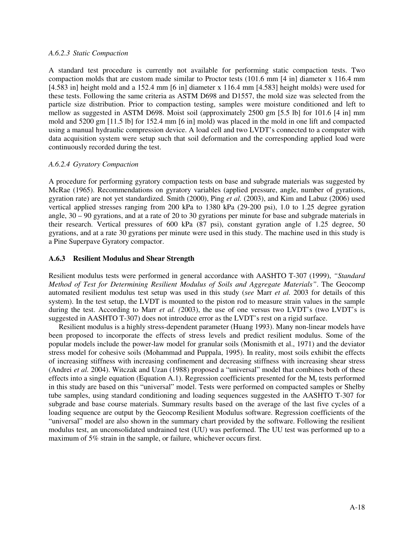### *A.6.2.3 Static Compaction*

A standard test procedure is currently not available for performing static compaction tests. Two compaction molds that are custom made similar to Proctor tests (101.6 mm [4 in] diameter x 116.4 mm [4.583 in] height mold and a 152.4 mm [6 in] diameter x 116.4 mm [4.583] height molds) were used for these tests. Following the same criteria as ASTM D698 and D1557, the mold size was selected from the particle size distribution. Prior to compaction testing, samples were moisture conditioned and left to mellow as suggested in ASTM D698. Moist soil (approximately 2500 gm [5.5 lb] for 101.6 [4 in] mm mold and 5200 gm [11.5 lb] for 152.4 mm [6 in] mold) was placed in the mold in one lift and compacted using a manual hydraulic compression device. A load cell and two LVDT's connected to a computer with data acquisition system were setup such that soil deformation and the corresponding applied load were continuously recorded during the test.

## *A.6.2.4 Gyratory Compaction*

A procedure for performing gyratory compaction tests on base and subgrade materials was suggested by McRae (1965). Recommendations on gyratory variables (applied pressure, angle, number of gyrations, gyration rate) are not yet standardized. Smith (2000), Ping *et al.* (2003), and Kim and Labuz (2006) used vertical applied stresses ranging from 200 kPa to 1380 kPa (29-200 psi), 1.0 to 1.25 degree gyration angle,  $30 - 90$  gyrations, and at a rate of 20 to 30 gyrations per minute for base and subgrade materials in their research. Vertical pressures of 600 kPa (87 psi), constant gyration angle of 1.25 degree, 50 gyrations, and at a rate 30 gyrations per minute were used in this study. The machine used in this study is a Pine Superpave Gyratory compactor.

## **A.6.3 Resilient Modulus and Shear Strength**

Resilient modulus tests were performed in general accordance with AASHTO T-307 (1999), *"Standard Method of Test for Determining Resilient Modulus of Soils and Aggregate Materials"*. The Geocomp automated resilient modulus test setup was used in this study (*see* Marr *et al.* 2003 for details of this system). In the test setup, the LVDT is mounted to the piston rod to measure strain values in the sample during the test. According to Marr *et al. (*2003), the use of one versus two LVDT's (two LVDT's is suggested in AASHTO T-307) does not introduce error as the LVDT's rest on a rigid surface.

 Resilient modulus is a highly stress-dependent parameter (Huang 1993). Many non-linear models have been proposed to incorporate the effects of stress levels and predict resilient modulus. Some of the popular models include the power-law model for granular soils (Monismith et al., 1971) and the deviator stress model for cohesive soils (Mohammad and Puppala, 1995). In reality, most soils exhibit the effects of increasing stiffness with increasing confinement and decreasing stiffness with increasing shear stress (Andrei *et al.* 2004). Witczak and Uzan (1988) proposed a "universal" model that combines both of these effects into a single equation (Equation A.1). Regression coefficients presented for the  $M_r$  tests performed in this study are based on this "universal" model. Tests were performed on compacted samples or Shelby tube samples, using standard conditioning and loading sequences suggested in the AASHTO T-307 for subgrade and base course materials. Summary results based on the average of the last five cycles of a loading sequence are output by the Geocomp Resilient Modulus software. Regression coefficients of the "universal" model are also shown in the summary chart provided by the software. Following the resilient modulus test, an unconsolidated undrained test (UU) was performed. The UU test was performed up to a maximum of 5% strain in the sample, or failure, whichever occurs first.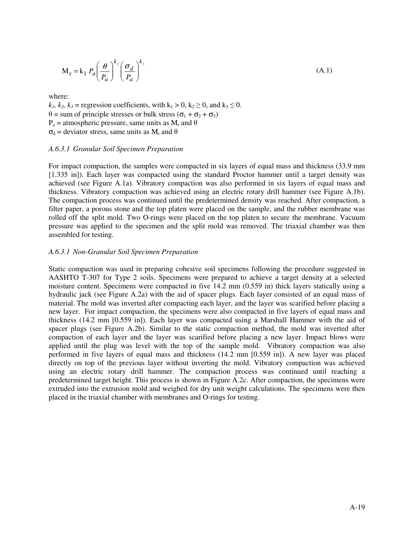$$
\mathbf{M}_{\mathbf{r}} = \mathbf{k}_1 \ P_a \left(\frac{\theta}{P_a}\right)^{k_2} \left(\frac{\sigma_d}{P_a}\right)^{k_3} \tag{A.1}
$$

where:

 $k_1, k_2, k_3$  = regression coefficients, with  $k_1 > 0$ ,  $k_2 \ge 0$ , and  $k_3 \le 0$ .  $θ = sum of principle stresses or bulk stress (σ<sub>1</sub> + σ<sub>2</sub> + σ<sub>3</sub>)$  $P_a$  = atmospheric pressure, same units as  $M_r$  and  $\theta$  $\sigma_d$  = deviator stress, same units as  $M_r$  and  $\theta$ 

### *A.6.3.1 Granular Soil Specimen Preparation*

For impact compaction, the samples were compacted in six layers of equal mass and thickness (33.9 mm [1.335 in]). Each layer was compacted using the standard Proctor hammer until a target density was achieved (see Figure A.1a). Vibratory compaction was also performed in six layers of equal mass and thickness. Vibratory compaction was achieved using an electric rotary drill hammer (see Figure A.1b). The compaction process was continued until the predetermined density was reached. After compaction, a filter paper, a porous stone and the top platen were placed on the sample, and the rubber membrane was rolled off the split mold. Two O-rings were placed on the top platen to secure the membrane. Vacuum pressure was applied to the specimen and the split mold was removed. The triaxial chamber was then assembled for testing.

#### *A.6.3.1 Non-Granular Soil Specimen Preparation*

Static compaction was used in preparing cohesive soil specimens following the procedure suggested in AASHTO T-307 for Type 2 soils. Specimens were prepared to achieve a target density at a selected moisture content. Specimens were compacted in five 14.2 mm (0.559 in) thick layers statically using a hydraulic jack (see Figure A.2a) with the aid of spacer plugs. Each layer consisted of an equal mass of material. The mold was inverted after compacting each layer, and the layer was scarified before placing a new layer. For impact compaction, the specimens were also compacted in five layers of equal mass and thickness (14.2 mm [0.559 in]). Each layer was compacted using a Marshall Hammer with the aid of spacer plugs (see Figure A.2b). Similar to the static compaction method, the mold was inverted after compaction of each layer and the layer was scarified before placing a new layer. Impact blows were applied until the plug was level with the top of the sample mold. Vibratory compaction was also performed in five layers of equal mass and thickness (14.2 mm [0.559 in]). A new layer was placed directly on top of the previous layer without inverting the mold. Vibratory compaction was achieved using an electric rotary drill hammer. The compaction process was continued until reaching a predetermined target height. This process is shown in Figure A.2c. After compaction, the specimens were extruded into the extrusion mold and weighed for dry unit weight calculations. The specimens were then placed in the triaxial chamber with membranes and O-rings for testing.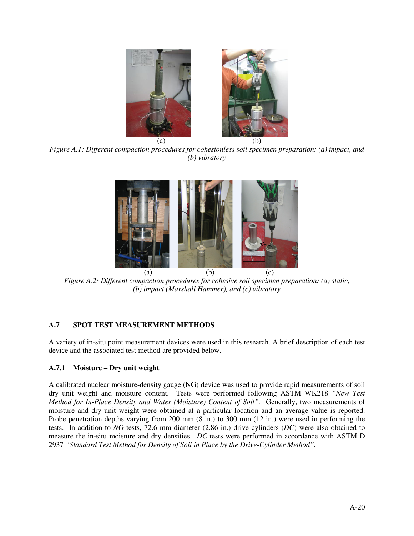

*Figure A.1: Different compaction procedures for cohesionless soil specimen preparation: (a) impact, and (b) vibratory* 



*Figure A.2: Different compaction procedures for cohesive soil specimen preparation: (a) static, (b) impact (Marshall Hammer), and (c) vibratory* 

## **A.7 SPOT TEST MEASUREMENT METHODS**

A variety of in-situ point measurement devices were used in this research. A brief description of each test device and the associated test method are provided below.

## **A.7.1 Moisture – Dry unit weight**

A calibrated nuclear moisture-density gauge (NG) device was used to provide rapid measurements of soil dry unit weight and moisture content. Tests were performed following ASTM WK218 *"New Test Method for In-Place Density and Water (Moisture) Content of Soil".* Generally, two measurements of moisture and dry unit weight were obtained at a particular location and an average value is reported. Probe penetration depths varying from 200 mm (8 in.) to 300 mm (12 in.) were used in performing the tests. In addition to *NG* tests, 72.6 mm diameter (2.86 in.) drive cylinders (*DC*) were also obtained to measure the in-situ moisture and dry densities. *DC* tests were performed in accordance with ASTM D 2937 *"Standard Test Method for Density of Soil in Place by the Drive-Cylinder Method".*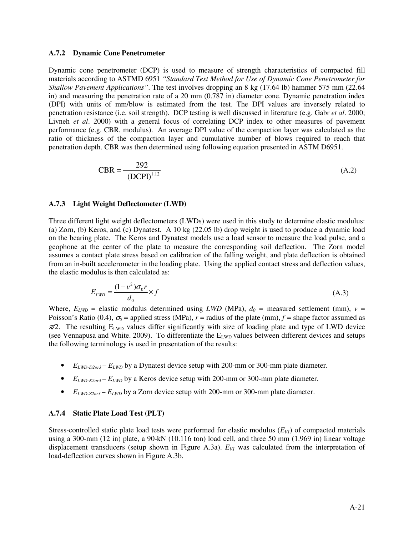#### **A.7.2 Dynamic Cone Penetrometer**

Dynamic cone penetrometer (DCP) is used to measure of strength characteristics of compacted fill materials according to ASTMD 6951 *"Standard Test Method for Use of Dynamic Cone Penetrometer for Shallow Pavement Applications"*. The test involves dropping an 8 kg (17.64 lb) hammer 575 mm (22.64 in) and measuring the penetration rate of a 20 mm (0.787 in) diameter cone. Dynamic penetration index (DPI) with units of mm/blow is estimated from the test. The DPI values are inversely related to penetration resistance (i.e. soil strength). DCP testing is well discussed in literature (e.g. Gabr *et al*. 2000; Livneh *et al*. 2000) with a general focus of correlating DCP index to other measures of pavement performance (e.g. CBR, modulus). An average DPI value of the compaction layer was calculated as the ratio of thickness of the compaction layer and cumulative number of blows required to reach that penetration depth. CBR was then determined using following equation presented in ASTM D6951.

$$
CBR = \frac{292}{(DCPI)^{1.12}}
$$
 (A.2)

#### **A.7.3 Light Weight Deflectometer (LWD)**

Three different light weight deflectometers (LWDs) were used in this study to determine elastic modulus: (a) Zorn, (b) Keros, and (c) Dynatest. A 10 kg (22.05 lb) drop weight is used to produce a dynamic load on the bearing plate. The Keros and Dynatest models use a load sensor to measure the load pulse, and a geophone at the center of the plate to measure the corresponding soil deflection. The Zorn model assumes a contact plate stress based on calibration of the falling weight, and plate deflection is obtained from an in-built accelerometer in the loading plate. Using the applied contact stress and deflection values, the elastic modulus is then calculated as:

$$
E_{LWD} = \frac{(1 - v^2)\sigma_0 r}{d_0} \times f \tag{A.3}
$$

Where,  $E_{LWD}$  = elastic modulus determined using *LWD* (MPa),  $d_0$  = measured settlement (mm),  $v =$ Poisson's Ratio (0.4),  $\sigma_0$  = applied stress (MPa), *r* = radius of the plate (mm), *f* = shape factor assumed as  $π/2$ . The resulting E<sub>LWD</sub> values differ significantly with size of loading plate and type of LWD device (see Vennapusa and White. 2009). To differentiate the  $E_{LWD}$  values between different devices and setups the following terminology is used in presentation of the results:

- *ELWD-D2or3 ELWD* by a Dynatest device setup with 200-mm or 300-mm plate diameter.
- $\bullet$  *E*<sub>*LWD-K2or3</sub>*  $E$ *<sub><i>LWD*</sub> by a Keros device setup with 200-mm or 300-mm plate diameter.</sub>
- $E_{LWD-Z20r3} E_{LWD}$  by a Zorn device setup with 200-mm or 300-mm plate diameter.

## **A.7.4 Static Plate Load Test (PLT)**

Stress-controlled static plate load tests were performed for elastic modulus  $(E_{VI})$  of compacted materials using a 300-mm (12 in) plate, a 90-kN (10.116 ton) load cell, and three 50 mm (1.969 in) linear voltage displacement transducers (setup shown in Figure A.3a). *EV1* was calculated from the interpretation of load-deflection curves shown in Figure A.3b.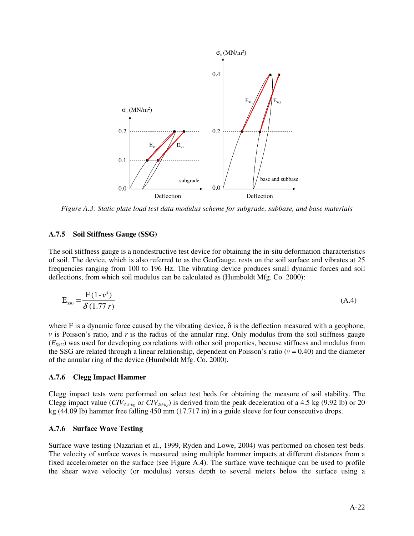

*Figure A.3: Static plate load test data modulus scheme for subgrade, subbase, and base materials* 

#### **A.7.5 Soil Stiffness Gauge (SSG)**

The soil stiffness gauge is a nondestructive test device for obtaining the in-situ deformation characteristics of soil. The device, which is also referred to as the GeoGauge, rests on the soil surface and vibrates at 25 frequencies ranging from 100 to 196 Hz. The vibrating device produces small dynamic forces and soil deflections, from which soil modulus can be calculated as (Humboldt Mfg. Co. 2000):

$$
E_{\rm ssc} = \frac{F(1 - v^2)}{\delta(1.77 \, r)}\tag{A.4}
$$

where F is a dynamic force caused by the vibrating device,  $\delta$  is the deflection measured with a geophone, *v* is Poisson's ratio, and *r* is the radius of the annular ring. Only modulus from the soil stiffness gauge (*ESSG*) was used for developing correlations with other soil properties, because stiffness and modulus from the SSG are related through a linear relationship, dependent on Poisson's ratio ( $v = 0.40$ ) and the diameter of the annular ring of the device (Humboldt Mfg. Co. 2000).

#### **A.7.6 Clegg Impact Hammer**

Clegg impact tests were performed on select test beds for obtaining the measure of soil stability. The Clegg impact value  $(CIV_{4,5,kg}$  or  $CIV_{20,kg}$ ) is derived from the peak deceleration of a 4.5 kg (9.92 lb) or 20 kg (44.09 lb) hammer free falling 450 mm (17.717 in) in a guide sleeve for four consecutive drops.

#### **A.7.6 Surface Wave Testing**

Surface wave testing (Nazarian et al., 1999, Ryden and Lowe, 2004) was performed on chosen test beds. The velocity of surface waves is measured using multiple hammer impacts at different distances from a fixed accelerometer on the surface (see Figure A.4). The surface wave technique can be used to profile the shear wave velocity (or modulus) versus depth to several meters below the surface using a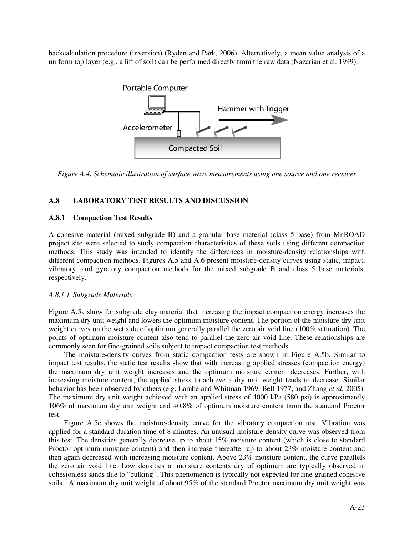backcalculation procedure (inversion) (Ryden and Park, 2006). Alternatively, a mean value analysis of a uniform top layer (e.g., a lift of soil) can be performed directly from the raw data (Nazarian et al. 1999).



*Figure A.4. Schematic illustration of surface wave measurements using one source and one receiver* 

## **A.8 LABORATORY TEST RESULTS AND DISCUSSION**

## **A.8.1 Compaction Test Results**

A cohesive material (mixed subgrade B) and a granular base material (class 5 base) from MnROAD project site were selected to study compaction characteristics of these soils using different compaction methods. This study was intended to identify the differences in moisture-density relationships with different compaction methods. Figures A.5 and A.6 present moisture-density curves using static, impact, vibratory, and gyratory compaction methods for the mixed subgrade B and class 5 base materials, respectively.

## *A.8.1.1 Subgrade Materials*

Figure A.5a show for subgrade clay material that increasing the impact compaction energy increases the maximum dry unit weight and lowers the optimum moisture content. The portion of the moisture-dry unit weight curves on the wet side of optimum generally parallel the zero air void line (100% saturation). The points of optimum moisture content also tend to parallel the zero air void line. These relationships are commonly seen for fine-grained soils subject to impact compaction test methods.

The moisture-density curves from static compaction tests are shown in Figure A.5b. Similar to impact test results, the static test results show that with increasing applied stresses (compaction energy) the maximum dry unit weight increases and the optimum moisture content decreases. Further, with increasing moisture content, the applied stress to achieve a dry unit weight tends to decrease. Similar behavior has been observed by others (e.g. Lambe and Whitman 1969, Bell 1977, and Zhang *et al.* 2005). The maximum dry unit weight achieved with an applied stress of 4000 kPa (580 psi) is approximately 106% of maximum dry unit weight and +0.8% of optimum moisture content from the standard Proctor test.

Figure A.5c shows the moisture-density curve for the vibratory compaction test. Vibration was applied for a standard duration time of 8 minutes. An unusual moisture-density curve was observed from this test. The densities generally decrease up to about 15% moisture content (which is close to standard Proctor optimum moisture content) and then increase thereafter up to about 23% moisture content and then again decreased with increasing moisture content. Above 23% moisture content, the curve parallels the zero air void line. Low densities at moisture contents dry of optimum are typically observed in cohesionless sands due to "bulking". This phenomenon is typically not expected for fine-grained cohesive soils. A maximum dry unit weight of about 95% of the standard Proctor maximum dry unit weight was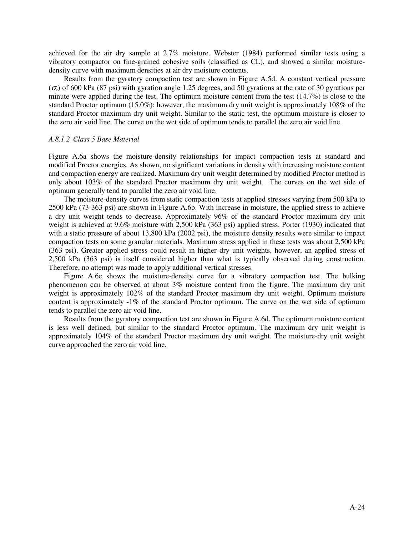achieved for the air dry sample at 2.7% moisture. Webster (1984) performed similar tests using a vibratory compactor on fine-grained cohesive soils (classified as CL), and showed a similar moisturedensity curve with maximum densities at air dry moisture contents.

Results from the gyratory compaction test are shown in Figure A.5d. A constant vertical pressure  $(\sigma$ <sup>v</sup>) of 600 kPa (87 psi) with gyration angle 1.25 degrees, and 50 gyrations at the rate of 30 gyrations per minute were applied during the test. The optimum moisture content from the test  $(14.7%)$  is close to the standard Proctor optimum (15.0%); however, the maximum dry unit weight is approximately 108% of the standard Proctor maximum dry unit weight. Similar to the static test, the optimum moisture is closer to the zero air void line. The curve on the wet side of optimum tends to parallel the zero air void line.

#### *A.8.1.2 Class 5 Base Material*

Figure A.6a shows the moisture-density relationships for impact compaction tests at standard and modified Proctor energies. As shown, no significant variations in density with increasing moisture content and compaction energy are realized. Maximum dry unit weight determined by modified Proctor method is only about 103% of the standard Proctor maximum dry unit weight. The curves on the wet side of optimum generally tend to parallel the zero air void line.

The moisture-density curves from static compaction tests at applied stresses varying from 500 kPa to 2500 kPa (73-363 psi) are shown in Figure A.6b. With increase in moisture, the applied stress to achieve a dry unit weight tends to decrease. Approximately 96% of the standard Proctor maximum dry unit weight is achieved at 9.6% moisture with 2,500 kPa (363 psi) applied stress. Porter (1930) indicated that with a static pressure of about 13,800 kPa (2002 psi), the moisture density results were similar to impact compaction tests on some granular materials. Maximum stress applied in these tests was about 2,500 kPa (363 psi). Greater applied stress could result in higher dry unit weights, however, an applied stress of 2,500 kPa (363 psi) is itself considered higher than what is typically observed during construction. Therefore, no attempt was made to apply additional vertical stresses.

Figure A.6c shows the moisture-density curve for a vibratory compaction test. The bulking phenomenon can be observed at about 3% moisture content from the figure. The maximum dry unit weight is approximately 102% of the standard Proctor maximum dry unit weight. Optimum moisture content is approximately -1% of the standard Proctor optimum. The curve on the wet side of optimum tends to parallel the zero air void line.

Results from the gyratory compaction test are shown in Figure A.6d. The optimum moisture content is less well defined, but similar to the standard Proctor optimum. The maximum dry unit weight is approximately 104% of the standard Proctor maximum dry unit weight. The moisture-dry unit weight curve approached the zero air void line.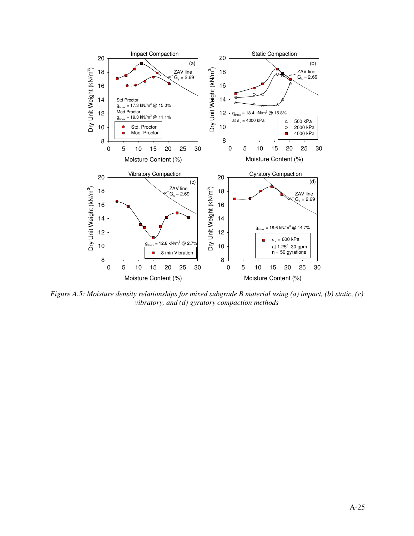

*Figure A.5: Moisture density relationships for mixed subgrade B material using (a) impact, (b) static, (c) vibratory, and (d) gyratory compaction methods*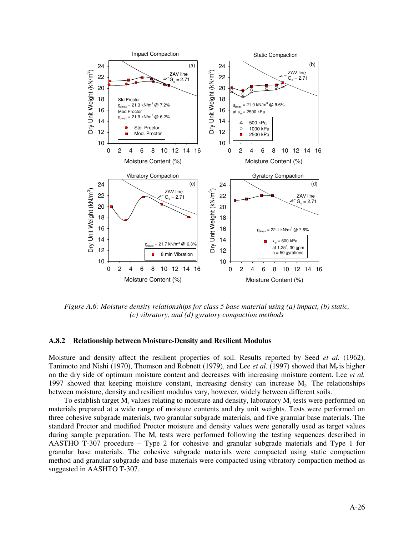

*Figure A.6: Moisture density relationships for class 5 base material using (a) impact, (b) static, (c) vibratory, and (d) gyratory compaction methods* 

## **A.8.2 Relationship between Moisture-Density and Resilient Modulus**

Moisture and density affect the resilient properties of soil. Results reported by Seed *et al.* (1962), Tanimoto and Nishi (1970), Thomson and Robnett (1979), and Lee *et al.* (1997) showed that Mr is higher on the dry side of optimum moisture content and decreases with increasing moisture content. Lee *et al.*  1997 showed that keeping moisture constant, increasing density can increase M<sup>r</sup> . The relationships between moisture, density and resilient modulus vary, however, widely between different soils.

To establish target  $M_r$  values relating to moisture and density, laboratory  $M_r$  tests were performed on materials prepared at a wide range of moisture contents and dry unit weights. Tests were performed on three cohesive subgrade materials, two granular subgrade materials, and five granular base materials. The standard Proctor and modified Proctor moisture and density values were generally used as target values during sample preparation. The  $M_r$  tests were performed following the testing sequences described in AASTHO T-307 procedure – Type 2 for cohesive and granular subgrade materials and Type 1 for granular base materials. The cohesive subgrade materials were compacted using static compaction method and granular subgrade and base materials were compacted using vibratory compaction method as suggested in AASHTO T-307.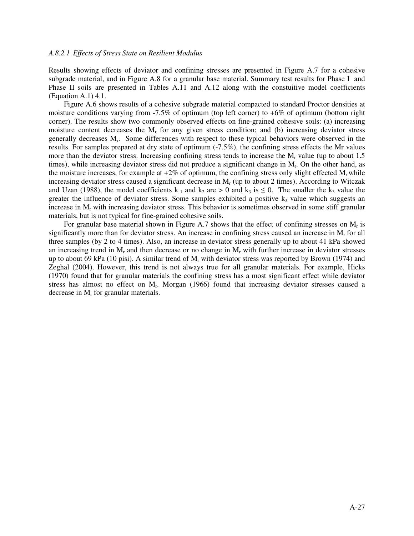#### *A.8.2.1 Effects of Stress State on Resilient Modulus*

Results showing effects of deviator and confining stresses are presented in Figure A.7 for a cohesive subgrade material, and in Figure A.8 for a granular base material. Summary test results for Phase I and Phase II soils are presented in Tables A.11 and A.12 along with the constuitive model coefficients (Equation A.1) 4.1.

Figure A.6 shows results of a cohesive subgrade material compacted to standard Proctor densities at moisture conditions varying from -7.5% of optimum (top left corner) to +6% of optimum (bottom right corner). The results show two commonly observed effects on fine-grained cohesive soils: (a) increasing moisture content decreases the  $M_r$  for any given stress condition; and (b) increasing deviator stress generally decreases M<sup>r</sup> . Some differences with respect to these typical behaviors were observed in the results. For samples prepared at dry state of optimum (-7.5%), the confining stress effects the Mr values more than the deviator stress. Increasing confining stress tends to increase the  $M_r$  value (up to about 1.5 times), while increasing deviator stress did not produce a significant change in  $M_r$ . On the other hand, as the moisture increases, for example at  $+2\%$  of optimum, the confining stress only slight effected M<sub>r</sub> while increasing deviator stress caused a significant decrease in  $M_r$  (up to about 2 times). According to Witczak and Uzan (1988), the model coefficients k<sub>1</sub> and k<sub>2</sub> are > 0 and k<sub>3</sub> is  $\leq$  0. The smaller the k<sub>3</sub> value the greater the influence of deviator stress. Some samples exhibited a positive  $k_3$  value which suggests an increase in  $M_r$  with increasing deviator stress. This behavior is sometimes observed in some stiff granular materials, but is not typical for fine-grained cohesive soils.

For granular base material shown in Figure A.7 shows that the effect of confining stresses on  $M_r$  is significantly more than for deviator stress. An increase in confining stress caused an increase in  $M_r$  for all three samples (by 2 to 4 times). Also, an increase in deviator stress generally up to about 41 kPa showed an increasing trend in  $M_r$  and then decrease or no change in  $M_r$  with further increase in deviator stresses up to about 69 kPa (10 pisi). A similar trend of  $M_r$  with deviator stress was reported by Brown (1974) and Zeghal (2004). However, this trend is not always true for all granular materials. For example, Hicks (1970) found that for granular materials the confining stress has a most significant effect while deviator stress has almost no effect on M<sup>r</sup> . Morgan (1966) found that increasing deviator stresses caused a decrease in  $M_r$  for granular materials.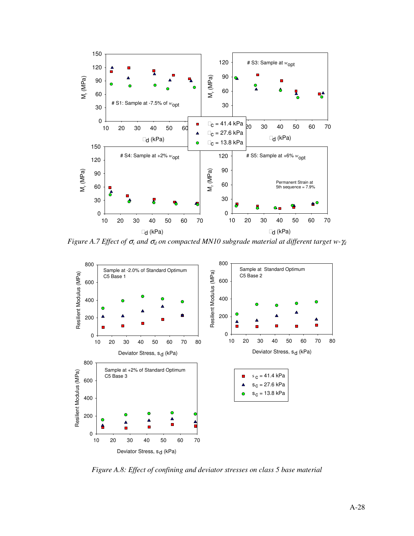

*Figure A.7 Effect of* <sup>σ</sup>*<sup>c</sup> and* <sup>σ</sup>*d on compacted MN10 subgrade material at different target w-*γ*<sup>d</sup>*



*Figure A.8: Effect of confining and deviator stresses on class 5 base material*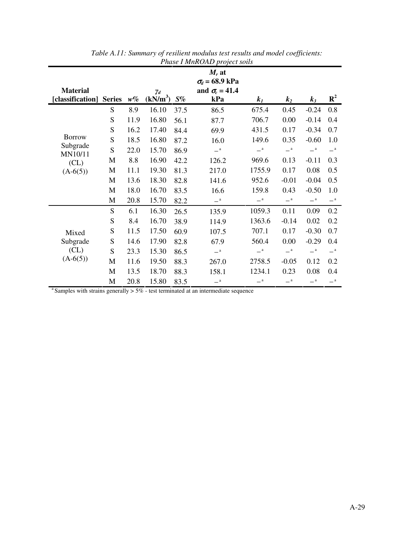|                                            |           |       |                                    |       | $M_r$ at                     |             |             |                       |                       |
|--------------------------------------------|-----------|-------|------------------------------------|-------|------------------------------|-------------|-------------|-----------------------|-----------------------|
|                                            |           |       |                                    |       | $\sigma_d$ = 68.9 kPa        |             |             |                       |                       |
| <b>Material</b><br>[classification] Series |           | $w\%$ | $\gamma_d$<br>(kN/m <sup>3</sup> ) | $S\%$ | and $\sigma_c = 41.4$<br>kPa | $k_I$       | $k_2$       | $k_3$                 | $\mathbf{R}^2$        |
|                                            | S         | 8.9   | 16.10                              | 37.5  | 86.5                         | 675.4       | 0.45        | $-0.24$               | 0.8                   |
|                                            | S         | 11.9  | 16.80                              | 56.1  | 87.7                         | 706.7       | 0.00        | $-0.14$               | 0.4                   |
|                                            | ${\bf S}$ | 16.2  | 17.40                              | 84.4  | 69.9                         | 431.5       | 0.17        | $-0.34$               | 0.7                   |
| <b>Borrow</b>                              | S         | 18.5  | 16.80                              | 87.2  | 16.0                         | 149.6       | 0.35        | $-0.60$               | 1.0                   |
| Subgrade<br>MN10/11                        | S         | 22.0  | 15.70                              | 86.9  | $\equiv$ <sup>a</sup>        | $-$ a       | $-{}^a$     | $\equiv$ <sup>a</sup> | $\equiv$ <sup>a</sup> |
| CL)<br>$(A-6(5))$                          | M         | 8.8   | 16.90                              | 42.2  | 126.2                        | 969.6       | 0.13        | $-0.11$               | 0.3                   |
|                                            | M         | 11.1  | 19.30                              | 81.3  | 217.0                        | 1755.9      | 0.17        | 0.08                  | 0.5                   |
|                                            | M         | 13.6  | 18.30                              | 82.8  | 141.6                        | 952.6       | $-0.01$     | $-0.04$               | 0.5                   |
|                                            | M         | 18.0  | 16.70                              | 83.5  | 16.6                         | 159.8       | 0.43        | $-0.50$               | 1.0                   |
|                                            | M         | 20.8  | 15.70                              | 82.2  | $-$ a                        | $ ^{\rm a}$ | $ ^{\rm a}$ | $ ^{\rm a}$           | $ ^{\rm a}$           |
|                                            | S         | 6.1   | 16.30                              | 26.5  | 135.9                        | 1059.3      | 0.11        | 0.09                  | 0.2                   |
|                                            | S         | 8.4   | 16.70                              | 38.9  | 114.9                        | 1363.6      | $-0.14$     | 0.02                  | 0.2                   |
| Mixed                                      | ${\bf S}$ | 11.5  | 17.50                              | 60.9  | 107.5                        | 707.1       | 0.17        | $-0.30$               | 0.7                   |
| Subgrade                                   | ${\bf S}$ | 14.6  | 17.90                              | 82.8  | 67.9                         | 560.4       | 0.00        | $-0.29$               | 0.4                   |
| CL)                                        | S         | 23.3  | 15.30                              | 86.5  | $\mathbf{a}$                 | $-{}^a$     | $-{}^a$     | $\equiv$ <sup>a</sup> | $\equiv$ <sup>a</sup> |
| $(A-6(5))$                                 | M         | 11.6  | 19.50                              | 88.3  | 267.0                        | 2758.5      | $-0.05$     | 0.12                  | 0.2                   |
|                                            | M         | 13.5  | 18.70                              | 88.3  | 158.1                        | 1234.1      | 0.23        | 0.08                  | 0.4                   |
|                                            | M         | 20.8  | 15.80                              | 83.5  | $\mathbf{a}$                 | $-{}^a$     | $-{}^a$     | $-{}^a$               | $ ^{\rm a}$           |

| Table A.11: Summary of resilient modulus test results and model coefficients: |
|-------------------------------------------------------------------------------|
| Phase I MnROAD project soils                                                  |

<sup>a</sup> Samples with strains generally  $> 5\%$  - test terminated at an intermediate sequence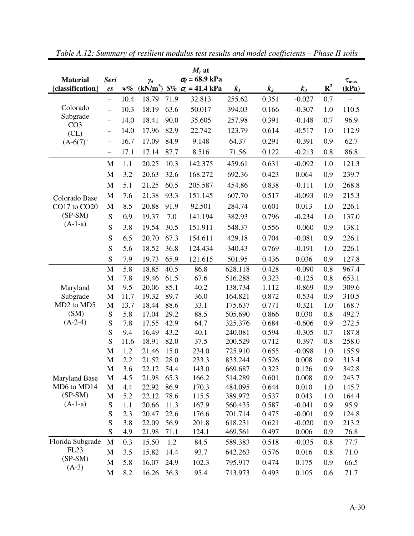| $M_r$ at                           |                           |      |            |      |                                     |         |       |          |                |                  |
|------------------------------------|---------------------------|------|------------|------|-------------------------------------|---------|-------|----------|----------------|------------------|
| <b>Material</b>                    | <b>Seri</b>               |      | $\gamma_d$ |      | $\sigma_d$ = 68.9 kPa               |         |       |          |                | $\tau_{\rm max}$ |
| [classification]                   | $\mathbf{\mathfrak{e}} s$ | w%   |            |      | $(kN/m^3)$ S% $\sigma_c = 41.4$ kPa | $k_I$   | $k_2$ | $k_3$    | $\mathbf{R}^2$ | (kPa)            |
|                                    | $\overline{\phantom{0}}$  | 10.4 | 18.79      | 71.9 | 32.813                              | 255.62  | 0.351 | $-0.027$ | 0.7            |                  |
| Colorado                           | $\overline{\phantom{0}}$  | 10.3 | 18.19      | 63.6 | 50.017                              | 394.03  | 0.166 | $-0.307$ | 1.0            | 110.5            |
| Subgrade                           | $\overline{\phantom{0}}$  | 14.0 | 18.41      | 90.0 | 35.605                              | 257.98  | 0.391 | $-0.148$ | 0.7            | 96.9             |
| CO <sub>3</sub><br>CL)             | $\qquad \qquad -$         | 14.0 | 17.96      | 82.9 | 22.742                              | 123.79  | 0.614 | $-0.517$ | 1.0            | 112.9            |
| $(A-6(7)^{a}$                      |                           | 16.7 | 17.09      | 84.9 | 9.148                               | 64.37   | 0.291 | $-0.391$ | 0.9            | 62.7             |
|                                    | $\qquad \qquad -$         | 17.1 | 17.14      | 87.7 | 8.516                               | 71.56   | 0.122 | $-0.213$ | 0.8            | 86.8             |
|                                    | $\mathbf{M}$              | 1.1  | 20.25      | 10.3 | 142.375                             | 459.61  | 0.631 | $-0.092$ | 1.0            | 121.3            |
|                                    | M                         | 3.2  | 20.63      | 32.6 | 168.272                             | 692.36  | 0.423 | 0.064    | 0.9            | 239.7            |
|                                    | M                         | 5.1  | 21.25      | 60.5 | 205.587                             | 454.86  | 0.838 | $-0.111$ | 1.0            | 268.8            |
| Colorado Base                      | M                         | 7.6  | 21.38      | 93.3 | 151.145                             | 607.70  | 0.517 | $-0.093$ | 0.9            | 215.3            |
| CO17 to CO20                       | M                         | 8.5  | 20.88      | 91.9 | 92.501                              | 284.74  | 0.601 | 0.013    | 1.0            | 226.1            |
| $(SP-SM)$                          | S                         | 0.9  | 19.37      | 7.0  | 141.194                             | 382.93  | 0.796 | $-0.234$ | 1.0            | 137.0            |
| $(A-1-a)$                          | S                         | 3.8  | 19.54      | 30.5 | 151.911                             | 548.37  | 0.556 | $-0.060$ | 0.9            | 138.1            |
|                                    | S                         | 6.5  | 20.70      | 67.3 | 154.611                             | 429.18  | 0.704 | $-0.081$ | 0.9            | 226.1            |
|                                    | S                         | 5.6  | 18.52      | 36.8 | 124.434                             | 340.43  | 0.769 | $-0.191$ | 1.0            | 226.1            |
|                                    | S                         | 7.9  | 19.73      | 65.9 | 121.615                             | 501.95  | 0.436 | 0.036    | 0.9            | 127.8            |
|                                    | $\mathbf{M}$              | 5.8  | 18.85      | 40.5 | 86.8                                | 628.118 | 0.428 | $-0.090$ | 0.8            | 967.4            |
|                                    | $\mathbf M$               | 7.8  | 19.46      | 61.5 | 67.6                                | 516.288 | 0.323 | $-0.125$ | 0.8            | 653.1            |
| Maryland                           | M                         | 9.5  | 20.06      | 85.1 | 40.2                                | 138.734 | 1.112 | $-0.869$ | 0.9            | 309.6            |
| Subgrade                           | M                         | 11.7 | 19.32      | 89.7 | 36.0                                | 164.821 | 0.872 | $-0.534$ | 0.9            | 310.5            |
| MD <sub>2</sub> to MD <sub>5</sub> | M                         | 13.7 | 18.44      | 88.6 | 33.1                                | 175.637 | 0.771 | $-0.321$ | 1.0            | 168.7            |
| (SM)                               | S                         | 5.8  | 17.04      | 29.2 | 88.5                                | 505.690 | 0.866 | 0.030    | 0.8            | 492.7            |
| $(A-2-4)$                          | S                         | 7.8  | 17.55      | 42.9 | 64.7                                | 325.376 | 0.684 | $-0.606$ | 0.9            | 272.5            |
|                                    | S                         | 9.4  | 16.49      | 43.2 | 40.1                                | 240.081 | 0.594 | $-0.305$ | 0.7            | 187.8            |
|                                    | S                         | 11.6 | 18.91      | 82.0 | 37.5                                | 200.529 | 0.712 | $-0.397$ | 0.8            | 258.0            |
|                                    | $\mathbf{M}$              | 1.2  | 21.46      | 15.0 | 234.0                               | 725.910 | 0.655 | $-0.098$ | 1.0            | 155.9            |
|                                    | $\mathbf{M}$              | 2.2  | 21.52      | 28.0 | 233.3                               | 833.244 | 0.526 | 0.008    | 0.9            | 313.4            |
|                                    | M                         | 3.6  | 22.12      | 54.4 | 143.0                               | 669.687 | 0.323 | 0.126    | 0.9            | 342.8            |
| <b>Maryland Base</b>               | M                         | 4.5  | 21.98      | 65.3 | 166.2                               | 514.289 | 0.601 | 0.008    | 0.9            | 243.7            |
| MD6 to MD14                        | M                         | 4.4  | 22.92      | 86.9 | 170.3                               | 484.095 | 0.644 | 0.010    | 1.0            | 145.7            |
| $(SP-SM)$                          | M                         | 5.2  | 22.12      | 78.6 | 115.5                               | 389.972 | 0.537 | 0.043    | 1.0            | 164.4            |
| $(A-1-a)$                          | S                         | 1.1  | 20.66      | 11.3 | 167.9                               | 560.435 | 0.587 | $-0.041$ | 0.9            | 95.9             |
|                                    | ${\mathbf S}$             | 2.3  | 20.47      | 22.6 | 176.6                               | 701.714 | 0.475 | $-0.001$ | 0.9            | 124.8            |
|                                    | S                         | 3.8  | 22.09      | 56.9 | 201.8                               | 618.231 | 0.621 | $-0.020$ | 0.9            | 213.2            |
|                                    | S                         | 4.9  | 21.98      | 71.1 | 124.1                               | 469.561 | 0.497 | 0.006    | 0.9            | 76.8             |
| Florida Subgrade                   | M                         | 0.3  | 15.50      | 1.2  | 84.5                                | 589.383 | 0.518 | $-0.035$ | 0.8            | 77.7             |
| <b>FL23</b>                        | M                         | 3.5  | 15.82      | 14.4 | 93.7                                | 642.263 | 0.576 | 0.016    | 0.8            | 71.0             |
| $(SP-SM)$<br>$(A-3)$               | M                         | 5.8  | 16.07      | 24.9 | 102.3                               | 795.917 | 0.474 | 0.175    | 0.9            | 66.5             |
|                                    | M                         | 8.2  | 16.26      | 36.3 | 95.4                                | 713.973 | 0.493 | 0.105    | 0.6            | 71.7             |

*Table A.12: Summary of resilient modulus test results and model coefficients – Phase II soils*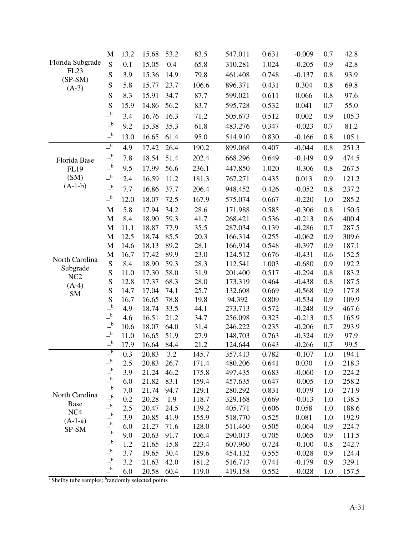|                      | M                                                | 13.2       | 15.68          | 53.2         | 83.5           | 547.011            | 0.631          | $-0.009$             | 0.7        | 42.8           |
|----------------------|--------------------------------------------------|------------|----------------|--------------|----------------|--------------------|----------------|----------------------|------------|----------------|
| Florida Subgrade     | S                                                | 0.1        | 15.05          | 0.4          | 65.8           | 310.281            | 1.024          | $-0.205$             | 0.9        | 42.8           |
| <b>FL23</b>          | S                                                | 3.9        | 15.36          | 14.9         | 79.8           | 461.408            | 0.748          | $-0.137$             | 0.8        | 93.9           |
| $(SP-SM)$<br>$(A-3)$ | S                                                | 5.8        | 15.77          | 23.7         | 106.6          | 896.371            | 0.431          | 0.304                | 0.8        | 69.8           |
|                      | S                                                | 8.3        | 15.91          | 34.7         | 87.7           | 599.021            | 0.611          | 0.066                | 0.8        | 97.6           |
|                      | S                                                | 15.9       | 14.86          | 56.2         | 83.7           | 595.728            | 0.532          | 0.041                | 0.7        | 55.0           |
|                      | $\overline{\phantom{a}}^{\phantom{a}b}$          | 3.4        | 16.76          | 16.3         | 71.2           | 505.673            | 0.512          | 0.002                | 0.9        | 105.3          |
|                      | $\overline{\phantom{a}}^{\phantom{a}b}$          | 9.2        | 15.38          | 35.3         | 61.8           | 483.276            | 0.347          | $-0.023$             | 0.7        | 81.2           |
|                      | $-{}^{\rm b}$                                    | 13.0       | 16.65          | 61.4         | 95.0           | 514.910            | 0.830          | $-0.166$             | 0.8        | 105.1          |
|                      | $-{}^{\rm b}$                                    | 4.9        | 17.42          | 26.4         | 190.2          | 899.068            | 0.407          | $-0.044$             | 0.8        | 251.3          |
| Florida Base         | $\overline{\phantom{a}}^{\phantom{a}b}$          | 7.8        | 18.54          | 51.4         | 202.4          | 668.296            | 0.649          | $-0.149$             | 0.9        | 474.5          |
| FL19                 | $\overline{-}^{\mathbf{b}}$                      | 9.5        | 17.99          | 56.6         | 236.1          | 447.850            | 1.020          | $-0.306$             | 0.8        | 267.5          |
| (SM)                 | $\overline{-}^{\mathbf{b}}$                      | 2.4        | 16.59          | 11.2         | 181.3          | 767.271            | 0.435          | 0.013                | 0.9        | 121.2          |
| $(A-1-b)$            | $\overline{\phantom{a}}^{\phantom{a}b}$          | 7.7        | 16.86          | 37.7         | 206.4          | 948.452            | 0.426          | $-0.052$             | 0.8        | 237.2          |
|                      | $\overline{\phantom{a}}^{\phantom{a}b}$          | 12.0       | 18.07          | 72.5         | 167.9          | 575.074            | 0.667          | $-0.220$             | 1.0        | 285.2          |
|                      | M                                                | 5.8        | 17.94          | 34.2         | 28.6           | 171.988            | 0.585          | $-0.306$             | 0.8        | 150.5          |
|                      | $\mathbf{M}$                                     | 8.4        | 18.90          | 59.3         | 41.7           | 268.421            | 0.536          | $-0.213$             | 0.6        | 400.4          |
|                      | $\mathbf M$                                      | 11.1       | 18.87          | 77.9         | 35.5           | 287.034            | 0.139          | $-0.286$             | 0.7        | 287.5          |
|                      | $\mathbf{M}$                                     | 12.5       | 18.74          | 85.5         | 20.3           | 166.314            | 0.255          | $-0.062$             | 0.9        | 309.6          |
|                      | $\mathbf M$                                      | 14.6       | 18.13          | 89.2         | 28.1           | 166.914            | 0.548          | $-0.397$             | 0.9        | 187.1          |
| North Carolina       | $\mathbf{M}$                                     | 16.7       | 17.42          | 89.9         | 23.0           | 124.512            | 0.676          | $-0.431$             | 0.6        | 152.5          |
| Subgrade             | ${\bf S}$                                        | 8.4        | 18.90          | 59.3         | 28.3           | 112.541            | 1.003          | $-0.680$             | 0.9        | 192.2          |
| NC <sub>2</sub>      | S                                                | 11.0       | 17.30          | 58.0         | 31.9           | 201.400            | 0.517          | $-0.294$             | 0.8        | 183.2          |
| $(A-4)$              | S                                                | 12.8       | 17.37          | 68.3         | 28.0           | 173.319            | 0.464          | $-0.438$             | 0.8        | 187.5          |
| <b>SM</b>            | S                                                | 14.7       | 17.04          | 74.1         | 25.7           | 132.608            | 0.669          | $-0.568$             | 0.9        | 177.8          |
|                      | S<br>$\overline{\phantom{a}}^{\phantom{a}b}$     | 16.7       | 16.65          | 78.8         | 19.8           | 94.392             | 0.809          | $-0.534$             | 0.9        | 109.9          |
|                      | $\overline{\phantom{a}}^{\phantom{a}b}$          | 4.9<br>4.6 | 18.74<br>16.51 | 33.5<br>21.2 | 44.1<br>34.7   | 273.713<br>256.098 | 0.572<br>0.323 | $-0.248$<br>$-0.213$ | 0.9<br>0.5 | 467.6<br>165.9 |
|                      | $\overline{\phantom{a}}^{\phantom{a}b}$          | 10.6       | 18.07          | 64.0         | 31.4           | 246.222            | 0.235          | $-0.206$             | 0.7        | 293.9          |
|                      | $\overline{\phantom{a}}^{\phantom{a}b}$          | 11.0       | 16.65          | 51.9         | 27.9           | 148.703            | 0.763          | $-0.324$             | 0.9        | 97.9           |
|                      | $\overline{\phantom{a}}^{\phantom{a}b}$          | 17.9       | 16.64          | 84.4         | 21.2           | 124.644            | 0.643          | $-0.266$             | 0.7        | 99.5           |
|                      | $\overline{\phantom{a}^{b}}$                     | 0.3        | 20.83 3.2      |              | 145.7          | 357.413            | 0.782          | $-0.107$             | $1.0\,$    | 194.1          |
|                      | $\mathsf{-}^{\mathsf{b}}$                        | 2.5        | 20.83          | 26.7         | 171.4          | 480.206            | 0.641          | 0.030                | 1.0        | 218.3          |
|                      | $\overline{-}^{\mathfrak{b}}$                    | 3.9        | 21.24          | 46.2         | 175.8          | 497.435            | 0.683          | $-0.060$             | 1.0        | 224.2          |
|                      | $\overline{-}^b$                                 | 6.0        | 21.82          | 83.1         | 159.4          | 457.635            | 0.647          | $-0.005$             | 1.0        | 258.2          |
| North Carolina       | $\overline{-}^{\mathfrak{b}}$                    | 7.0        | 21.74          | 94.7         | 129.1          | 280.292            | 0.831          | $-0.079$             | 1.0        | 271.9          |
| <b>Base</b>          | $\overline{\phantom{a}}^{\mathrm{b}}$            | 0.2        | 20.28          | 1.9          | 118.7          | 329.168            | 0.669          | $-0.013$             | 1.0        | 138.5          |
| NC <sub>4</sub>      | $\mathsf{-}^{\mathsf{b}}$                        | 2.5        | 20.47          | 24.5         | 139.2          | 405.771            | 0.606          | 0.058                | 1.0        | 188.6          |
| $(A-1-a)$            | $\overline{\phantom{a}}^{\phantom{a}b}$          | 3.9        | 20.85          | 41.9         | 155.9          | 518.770            | 0.525          | 0.081                | 1.0        | 192.9          |
| SP-SM                | $\overline{\phantom{a}}^{\phantom{a}b}$          | 6.0        | 21.27          | 71.6         | 128.0          | 511.460            | 0.505          | $-0.064$             | 0.9        | 224.7          |
|                      | $-$ b<br>$\overline{\phantom{a}}^{\phantom{a}b}$ | 9.0        | 20.63          | 91.7         | 106.4          | 290.013            | 0.705          | $-0.065$             | 0.9        | 111.5          |
|                      | $-{}^{\rm b}$                                    | 1.2<br>3.7 | 21.65<br>19.65 | 15.8<br>30.4 | 223.4<br>129.6 | 607.960<br>454.132 | 0.724<br>0.555 | $-0.100$<br>$-0.028$ | 0.8<br>0.9 | 242.7<br>124.4 |
|                      | $\overline{\phantom{a}}^{\phantom{a}b}$          | 3.2        | 21.63          | 42.0         | 181.2          | 516.713            | 0.741          | $-0.179$             | 0.9        | 329.1          |
|                      | $\overline{\phantom{a}}^{\phantom{a}b}$          | 6.0        | 20.58          | 60.4         | 119.0          | 419.158            | 0.552          | $-0.028$             | 1.0        | 157.5          |

<sup>a</sup> Shelby tube samples; <sup>b</sup>randomly selected points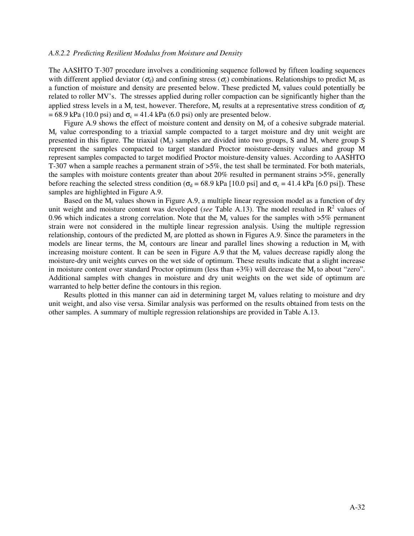#### *A.8.2.2 Predicting Resilient Modulus from Moisture and Density*

The AASHTO T-307 procedure involves a conditioning sequence followed by fifteen loading sequences with different applied deviator ( $\sigma_d$ ) and confining stress ( $\sigma_c$ ) combinations. Relationships to predict M<sub>r</sub> as a function of moisture and density are presented below. These predicted  $M_r$  values could potentially be related to roller MV's. The stresses applied during roller compaction can be significantly higher than the applied stress levels in a M<sub>r</sub> test, however. Therefore, M<sub>r</sub> results at a representative stress condition of  $\sigma_d$  $= 68.9 \text{ kPa}$  (10.0 psi) and  $\sigma_c = 41.4 \text{ kPa}$  (6.0 psi) only are presented below.

Figure A.9 shows the effect of moisture content and density on  $M_r$  of a cohesive subgrade material. M<sup>r</sup> value corresponding to a triaxial sample compacted to a target moisture and dry unit weight are presented in this figure. The triaxial  $(M_r)$  samples are divided into two groups, S and M, where group S represent the samples compacted to target standard Proctor moisture-density values and group M represent samples compacted to target modified Proctor moisture-density values. According to AASHTO T-307 when a sample reaches a permanent strain of >5%, the test shall be terminated. For both materials, the samples with moisture contents greater than about 20% resulted in permanent strains >5%, generally before reaching the selected stress condition ( $\sigma_d$  = 68.9 kPa [10.0 psi] and  $\sigma_c$  = 41.4 kPa [6.0 psi]). These samples are highlighted in Figure A.9.

Based on the  $M_r$  values shown in Figure A.9, a multiple linear regression model as a function of dry unit weight and moisture content was developed (*see* Table A.13). The model resulted in  $\mathbb{R}^2$  values of 0.96 which indicates a strong correlation. Note that the  $M_r$  values for the samples with  $>5\%$  permanent strain were not considered in the multiple linear regression analysis. Using the multiple regression relationship, contours of the predicted  $M_r$  are plotted as shown in Figures A.9. Since the parameters in the models are linear terms, the  $M_r$  contours are linear and parallel lines showing a reduction in  $M_r$  with increasing moisture content. It can be seen in Figure A.9 that the  $M_r$  values decrease rapidly along the moisture-dry unit weights curves on the wet side of optimum. These results indicate that a slight increase in moisture content over standard Proctor optimum (less than +3%) will decrease the Mr to about "zero". Additional samples with changes in moisture and dry unit weights on the wet side of optimum are warranted to help better define the contours in this region.

Results plotted in this manner can aid in determining target  $M_r$  values relating to moisture and dry unit weight, and also vise versa. Similar analysis was performed on the results obtained from tests on the other samples. A summary of multiple regression relationships are provided in Table A.13.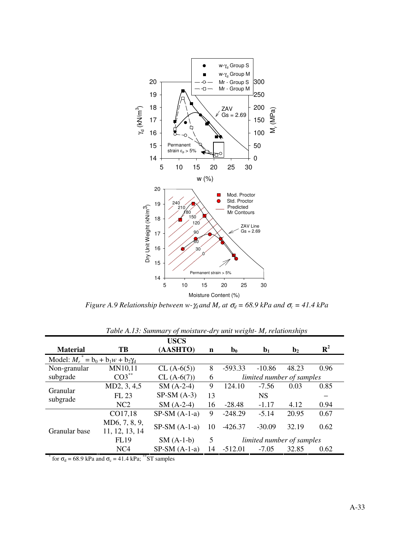

*Figure A.9 Relationship between w-* $\gamma_d$  *and*  $M_r$  *at*  $\sigma_d$  *= 68.9 kPa and*  $\sigma_c$  *= 41.4 kPa* 

|                                        |                                 | <b>USCS</b>    |                                |                           |                |                |                |  |
|----------------------------------------|---------------------------------|----------------|--------------------------------|---------------------------|----------------|----------------|----------------|--|
| <b>Material</b>                        | TB                              | (AASHTO)       | $\mathbf n$                    | $\mathbf{b}_0$            | $\mathbf{b}_1$ | $\mathbf{b}_2$ | $\mathbf{R}^2$ |  |
| Model: $M_r^* = b_0 + b_1 w + b_2 Y_d$ |                                 |                |                                |                           |                |                |                |  |
| Non-granular                           | MN10,11                         | $CL(A-6(5))$   | 8                              | $-593.33$                 | $-10.86$       | 48.23          | 0.96           |  |
| subgrade                               | $CO3$ <sup>**</sup>             | $CL (A-6(7))$  | 6<br>limited number of samples |                           |                |                |                |  |
| Granular<br>subgrade                   | MD2, 3, 4,5                     | $SM(A-2-4)$    | 9                              | 124.10                    | $-7.56$        | 0.03           | 0.85           |  |
|                                        | FL 23                           | $SP-SM(A-3)$   | 13                             |                           | <b>NS</b>      |                |                |  |
|                                        | NC2                             | $SM(A-2-4)$    | 16                             | $-28.48$                  | $-1.17$        | 4.12           | 0.94           |  |
|                                        | CO17,18                         | $SP-SM(A-1-a)$ | 9                              | $-248.29$                 | $-5.14$        | 20.95          | 0.67           |  |
| Granular base                          | MD6, 7, 8, 9,<br>11, 12, 13, 14 | $SP-SM(A-1-a)$ | 10                             | $-426.37$                 | $-30.09$       | 32.19          | 0.62           |  |
|                                        | <b>FL19</b>                     | $SM(A-1-b)$    | 5                              | limited number of samples |                |                |                |  |
|                                        | NC <sub>4</sub>                 | $SP-SM(A-1-a)$ | 14                             | $-512.01$                 | $-7.05$        | 32.85          | 0.62           |  |

*Table A.13: Summary of moisture-dry unit weight- M<sup>r</sup> relationships* 

\* for  $\sigma_d$  = 68.9 kPa and  $\sigma_c$  = 41.4 kPa; \*\*ST samples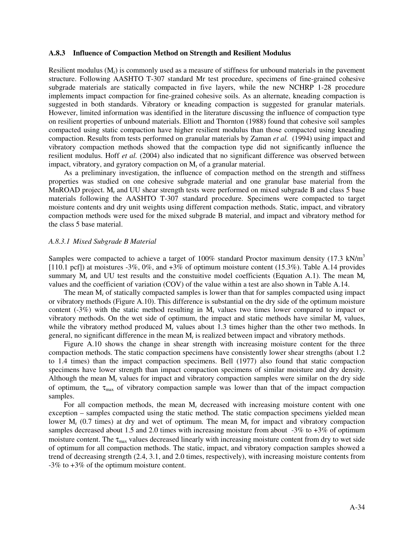#### **A.8.3 Influence of Compaction Method on Strength and Resilient Modulus**

Resilient modulus  $(M<sub>r</sub>)$  is commonly used as a measure of stiffness for unbound materials in the pavement structure. Following AASHTO T-307 standard Mr test procedure, specimens of fine-grained cohesive subgrade materials are statically compacted in five layers, while the new NCHRP 1-28 procedure implements impact compaction for fine-grained cohesive soils. As an alternate, kneading compaction is suggested in both standards. Vibratory or kneading compaction is suggested for granular materials. However, limited information was identified in the literature discussing the influence of compaction type on resilient properties of unbound materials. Elliott and Thornton (1988) found that cohesive soil samples compacted using static compaction have higher resilient modulus than those compacted using kneading compaction. Results from tests performed on granular materials by Zaman *et al.* (1994) using impact and vibratory compaction methods showed that the compaction type did not significantly influence the resilient modulus. Hoff *et al.* (2004) also indicated that no significant difference was observed between impact, vibratory, and gyratory compaction on  $M_r$  of a granular material.

As a preliminary investigation, the influence of compaction method on the strength and stiffness properties was studied on one cohesive subgrade material and one granular base material from the MnROAD project.  $M_r$  and UU shear strength tests were performed on mixed subgrade B and class 5 base materials following the AASHTO T-307 standard procedure. Specimens were compacted to target moisture contents and dry unit weights using different compaction methods. Static, impact, and vibratory compaction methods were used for the mixed subgrade B material, and impact and vibratory method for the class 5 base material.

#### *A.8.3.1 Mixed Subgrade B Material*

Samples were compacted to achieve a target of 100% standard Proctor maximum density (17.3 kN/m<sup>3</sup>) [110.1 pcf]) at moistures -3%, 0%, and +3% of optimum moisture content (15.3%). Table A.14 provides summary  $M_r$  and UU test results and the constuitive model coefficients (Equation A.1). The mean  $M_r$ values and the coefficient of variation (COV) of the value within a test are also shown in Table A.14.

The mean  $M_r$  of statically compacted samples is lower than that for samples compacted using impact or vibratory methods (Figure A.10). This difference is substantial on the dry side of the optimum moisture content (-3%) with the static method resulting in  $M_r$  values two times lower compared to impact or vibratory methods. On the wet side of optimum, the impact and static methods have similar  $M_r$  values, while the vibratory method produced  $M_r$  values about 1.3 times higher than the other two methods. In general, no significant difference in the mean  $M_r$  is realized between impact and vibratory methods.

Figure A.10 shows the change in shear strength with increasing moisture content for the three compaction methods. The static compaction specimens have consistently lower shear strengths (about 1.2 to 1.4 times) than the impact compaction specimens. Bell (1977) also found that static compaction specimens have lower strength than impact compaction specimens of similar moisture and dry density. Although the mean  $M_r$  values for impact and vibratory compaction samples were similar on the dry side of optimum, the  $\tau_{\text{max}}$  of vibratory compaction sample was lower than that of the impact compaction samples.

For all compaction methods, the mean  $M_r$  decreased with increasing moisture content with one exception – samples compacted using the static method. The static compaction specimens yielded mean lower  $M_r$  (0.7 times) at dry and wet of optimum. The mean  $M_r$  for impact and vibratory compaction samples decreased about 1.5 and 2.0 times with increasing moisture from about  $-3\%$  to  $+3\%$  of optimum moisture content. The  $\tau_{\text{max}}$  values decreased linearly with increasing moisture content from dry to wet side of optimum for all compaction methods. The static, impact, and vibratory compaction samples showed a trend of decreasing strength (2.4, 3.1, and 2.0 times, respectively), with increasing moisture contents from -3% to +3% of the optimum moisture content.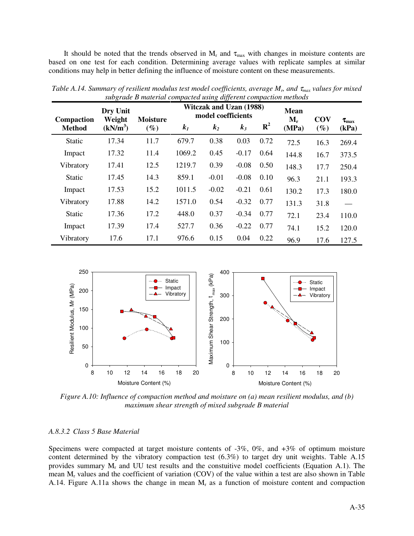It should be noted that the trends observed in  $M_r$  and  $\tau_{max}$  with changes in moisture contents are based on one test for each condition. Determining average values with replicate samples at similar conditions may help in better defining the influence of moisture content on these measurements.

| Compaction    | $\circ$<br>Dry Unit<br>Weight | <b>Moisture</b> |        | IJ<br><b>Witczak and Uzan (1988)</b><br>model coefficients |         | <b>Mean</b><br>$M_r$ | <b>COV</b> | $\tau_{\rm max}$ |       |
|---------------|-------------------------------|-----------------|--------|------------------------------------------------------------|---------|----------------------|------------|------------------|-------|
| <b>Method</b> | (kN/m <sup>3</sup> )          | $(\%)$          | $k_I$  | $k_2$                                                      | $k_3$   | $\mathbf{R}^2$       | (MPa)      | $(\%)$           | (kPa) |
| <b>Static</b> | 17.34                         | 11.7            | 679.7  | 0.38                                                       | 0.03    | 0.72                 | 72.5       | 16.3             | 269.4 |
| Impact        | 17.32                         | 11.4            | 1069.2 | 0.45                                                       | $-0.17$ | 0.64                 | 144.8      | 16.7             | 373.5 |
| Vibratory     | 17.41                         | 12.5            | 1219.7 | 0.39                                                       | $-0.08$ | 0.50                 | 148.3      | 17.7             | 250.4 |
| Static        | 17.45                         | 14.3            | 859.1  | $-0.01$                                                    | $-0.08$ | 0.10                 | 96.3       | 21.1             | 193.3 |
| Impact        | 17.53                         | 15.2            | 1011.5 | $-0.02$                                                    | $-0.21$ | 0.61                 | 130.2      | 17.3             | 180.0 |
| Vibratory     | 17.88                         | 14.2            | 1571.0 | 0.54                                                       | $-0.32$ | 0.77                 | 131.3      | 31.8             |       |
| <b>Static</b> | 17.36                         | 17.2            | 448.0  | 0.37                                                       | $-0.34$ | 0.77                 | 72.1       | 23.4             | 110.0 |
| Impact        | 17.39                         | 17.4            | 527.7  | 0.36                                                       | $-0.22$ | 0.77                 | 74.1       | 15.2             | 120.0 |
| Vibratory     | 17.6                          | 17.1            | 976.6  | 0.15                                                       | 0.04    | 0.22                 | 96.9       | 17.6             | 127.5 |

*Table A.14. Summary of resilient modulus test model coefficients, average M<sub><i>r*</sub>, and τ<sub>max</sub> values for mixed *subgrade B material compacted using different compaction methods* 



*Figure A.10: Influence of compaction method and moisture on (a) mean resilient modulus, and (b) maximum shear strength of mixed subgrade B material*

## *A.8.3.2 Class 5 Base Material*

Specimens were compacted at target moisture contents of -3%, 0%, and +3% of optimum moisture content determined by the vibratory compaction test (6.3%) to target dry unit weights. Table A.15 provides summary  $M_r$  and UU test results and the constuitive model coefficients (Equation A.1). The mean M<sub>r</sub> values and the coefficient of variation (COV) of the value within a test are also shown in Table A.14. Figure A.11a shows the change in mean  $M_r$  as a function of moisture content and compaction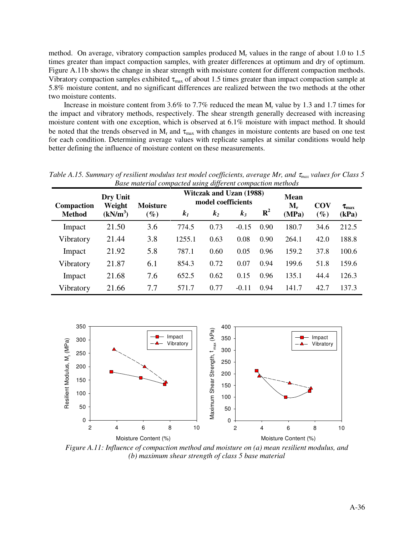method. On average, vibratory compaction samples produced  $M_r$  values in the range of about 1.0 to 1.5 times greater than impact compaction samples, with greater differences at optimum and dry of optimum. Figure A.11b shows the change in shear strength with moisture content for different compaction methods. Vibratory compaction samples exhibited  $\tau_{max}$  of about 1.5 times greater than impact compaction sample at 5.8% moisture content, and no significant differences are realized between the two methods at the other two moisture contents.

Increase in moisture content from 3.6% to 7.7% reduced the mean  $M_r$  value by 1.3 and 1.7 times for the impact and vibratory methods, respectively. The shear strength generally decreased with increasing moisture content with one exception, which is observed at 6.1% moisture with impact method. It should be noted that the trends observed in  $M_r$  and  $\tau_{max}$  with changes in moisture contents are based on one test for each condition. Determining average values with replicate samples at similar conditions would help better defining the influence of moisture content on these measurements.

| Base material compacted asing alfferent compaction memoris |                                  |                           |                |                                                                        |         |                |                               |                      |                           |
|------------------------------------------------------------|----------------------------------|---------------------------|----------------|------------------------------------------------------------------------|---------|----------------|-------------------------------|----------------------|---------------------------|
| <b>Compaction</b><br><b>Method</b>                         | Dry Unit<br>Weight<br>$(kN/m^3)$ | <b>Moisture</b><br>$(\%)$ | k <sub>I</sub> | <b>Witczak and Uzan (1988)</b><br>model coefficients<br>k <sub>2</sub> | $k_3$   | $\mathbf{R}^2$ | <b>Mean</b><br>$M_r$<br>(MPa) | <b>COV</b><br>$(\%)$ | $\tau_{\rm max}$<br>(kPa) |
| Impact                                                     | 21.50                            | 3.6                       | 774.5          | 0.73                                                                   | $-0.15$ | 0.90           | 180.7                         | 34.6                 | 212.5                     |
| Vibratory                                                  | 21.44                            | 3.8                       | 1255.1         | 0.63                                                                   | 0.08    | 0.90           | 264.1                         | 42.0                 | 188.8                     |
| Impact                                                     | 21.92                            | 5.8                       | 787.1          | 0.60                                                                   | 0.05    | 0.96           | 159.2                         | 37.8                 | 100.6                     |
| Vibratory                                                  | 21.87                            | 6.1                       | 854.3          | 0.72                                                                   | 0.07    | 0.94           | 199.6                         | 51.8                 | 159.6                     |
| Impact                                                     | 21.68                            | 7.6                       | 652.5          | 0.62                                                                   | 0.15    | 0.96           | 135.1                         | 44.4                 | 126.3                     |
| Vibratory                                                  | 21.66                            | 7.7                       | 571.7          | 0.77                                                                   | $-0.11$ | 0.94           | 141.7                         | 42.7                 | 137.3                     |

*Table A.15. Summary of resilient modulus test model coefficients, average Mr, and* <sup>τ</sup>*max values for Class 5 Base material compacted using different compaction methods* 



*Figure A.11: Influence of compaction method and moisture on (a) mean resilient modulus, and (b) maximum shear strength of class 5 base material*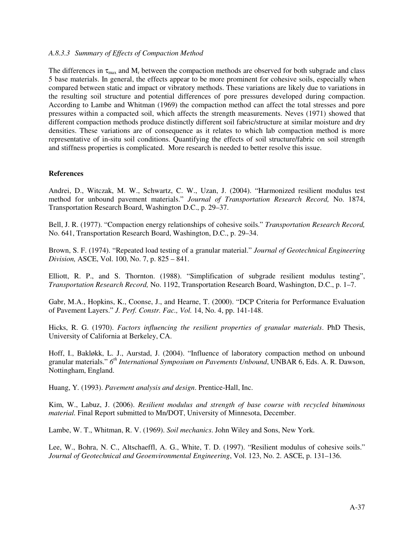### *A.8.3.3 Summary of Effects of Compaction Method*

The differences in  $\tau_{\text{max}}$  and  $M_r$  between the compaction methods are observed for both subgrade and class 5 base materials. In general, the effects appear to be more prominent for cohesive soils, especially when compared between static and impact or vibratory methods. These variations are likely due to variations in the resulting soil structure and potential differences of pore pressures developed during compaction. According to Lambe and Whitman (1969) the compaction method can affect the total stresses and pore pressures within a compacted soil, which affects the strength measurements. Neves (1971) showed that different compaction methods produce distinctly different soil fabric/structure at similar moisture and dry densities. These variations are of consequence as it relates to which lab compaction method is more representative of in-situ soil conditions. Quantifying the effects of soil structure/fabric on soil strength and stiffness properties is complicated. More research is needed to better resolve this issue.

## **References**

Andrei, D., Witczak, M. W., Schwartz, C. W., Uzan, J. (2004). "Harmonized resilient modulus test method for unbound pavement materials." *Journal of Transportation Research Record,* No. 1874, Transportation Research Board, Washington D.C., p. 29–37.

Bell, J. R. (1977). "Compaction energy relationships of cohesive soils." *Transportation Research Record,*  No. 641, Transportation Research Board, Washington, D.C., p. 29–34.

Brown, S. F. (1974). "Repeated load testing of a granular material." *Journal of Geotechnical Engineering Division,* ASCE, Vol. 100, No. 7, p. 825 – 841.

Elliott, R. P., and S. Thornton. (1988). "Simplification of subgrade resilient modulus testing", *Transportation Research Record,* No. 1192, Transportation Research Board, Washington, D.C., p. 1–7.

Gabr, M.A., Hopkins, K., Coonse, J., and Hearne, T. (2000). "DCP Criteria for Performance Evaluation of Pavement Layers." *J. Perf. Constr. Fac., Vol.* 14, No. 4, pp. 141-148.

Hicks, R. G. (1970). *Factors influencing the resilient properties of granular materials*. PhD Thesis, University of California at Berkeley, CA.

Hoff, I., Bakløkk, L. J., Aurstad, J. (2004). "Influence of laboratory compaction method on unbound granular materials." *6 th International Symposium on Pavements Unbound*, UNBAR 6, Eds. A. R. Dawson, Nottingham, England.

Huang, Y*.* (1993). *Pavement analysis and design*. Prentice-Hall, Inc.

Kim, W., Labuz, J. (2006). *Resilient modulus and strength of base course with recycled bituminous material.* Final Report submitted to Mn/DOT, University of Minnesota, December.

Lambe, W. T., Whitman, R. V. (1969). *Soil mechanics*. John Wiley and Sons, New York.

Lee, W., Bohra, N. C., Altschaeffl, A. G., White, T. D. (1997). "Resilient modulus of cohesive soils." *Journal of Geotechnical and Geoenvironmental Engineering*, Vol. 123, No. 2. ASCE, p. 131–136.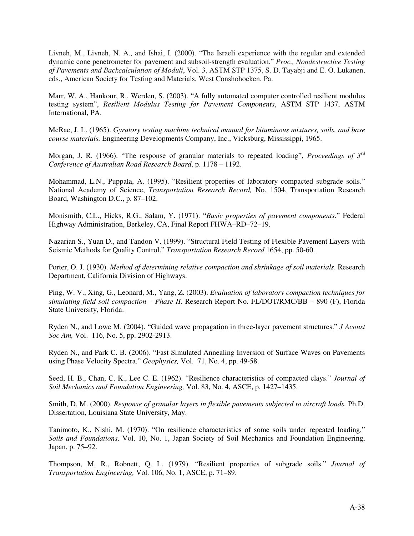Livneh, M., Livneh, N. A., and Ishai, I. (2000). "The Israeli experience with the regular and extended dynamic cone penetrometer for pavement and subsoil-strength evaluation." *Proc., Nondestructive Testing of Pavements and Backcalculation of Moduli*, Vol. 3, ASTM STP 1375, S. D. Tayabji and E. O. Lukanen, eds., American Society for Testing and Materials, West Conshohocken, Pa.

Marr, W. A., Hankour, R., Werden, S. (2003). "A fully automated computer controlled resilient modulus testing system", *Resilient Modulus Testing for Pavement Components*, ASTM STP 1437, ASTM International, PA.

McRae, J. L. (1965). *Gyratory testing machine technical manual for bituminous mixtures, soils, and base course materials.* Engineering Developments Company, Inc., Vicksburg, Mississippi, 1965.

Morgan, J. R. (1966). "The response of granular materials to repeated loading", *Proceedings of 3rd Conference of Australian Road Research Board*, p. 1178 – 1192.

Mohammad, L.N., Puppala, A. (1995). "Resilient properties of laboratory compacted subgrade soils." National Academy of Science, *Transportation Research Record,* No. 1504, Transportation Research Board, Washington D.C., p. 87–102.

Monismith, C.L., Hicks, R.G., Salam, Y. (1971). "*Basic properties of pavement components.*" Federal Highway Administration, Berkeley, CA, Final Report FHWA–RD–72–19.

Nazarian S., Yuan D., and Tandon V. (1999). "Structural Field Testing of Flexible Pavement Layers with Seismic Methods for Quality Control." *Transportation Research Record* 1654, pp. 50-60.

Porter, O. J. (1930). *Method of determining relative compaction and shrinkage of soil materials*. Research Department, California Division of Highways.

Ping, W. V., Xing, G., Leonard, M., Yang, Z. (2003). *Evaluation of laboratory compaction techniques for simulating field soil compaction – Phase II.* Research Report No. FL/DOT/RMC/BB – 890 (F), Florida State University, Florida.

Ryden N., and Lowe M. (2004). "Guided wave propagation in three-layer pavement structures." *J Acoust Soc Am,* Vol. 116, No. 5, pp. 2902-2913.

Ryden N., and Park C. B. (2006). "Fast Simulated Annealing Inversion of Surface Waves on Pavements using Phase Velocity Spectra." *Geophysics,* Vol. 71, No. 4, pp. 49-58.

Seed, H. B., Chan, C. K., Lee C. E. (1962). "Resilience characteristics of compacted clays." *Journal of Soil Mechanics and Foundation Engineering,* Vol. 83, No. 4, ASCE, p. 1427–1435.

Smith, D. M. (2000). *Response of granular layers in flexible pavements subjected to aircraft loads*. Ph.D. Dissertation, Louisiana State University, May.

Tanimoto, K., Nishi, M. (1970). "On resilience characteristics of some soils under repeated loading." *Soils and Foundations,* Vol. 10, No. 1, Japan Society of Soil Mechanics and Foundation Engineering, Japan, p. 75–92.

Thompson, M. R., Robnett, Q. L. (1979). "Resilient properties of subgrade soils." *Journal of Transportation Engineering,* Vol. 106, No. 1, ASCE, p. 71–89.